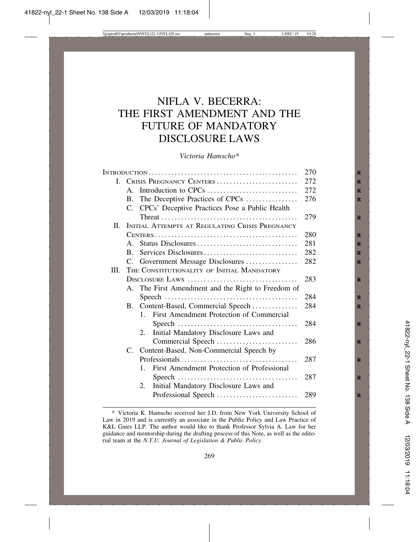# NIFLA V. BECERRA: THE FIRST AMENDMENT AND THE FUTURE OF MANDATORY DISCLOSURE LAWS

*Victoria Hamscho\**

|         | 270                         |                                                       |     |
|---------|-----------------------------|-------------------------------------------------------|-----|
|         | I. CRISIS PREGNANCY CENTERS |                                                       | 272 |
|         | $A_{\cdot}$                 | Introduction to CPCs                                  | 272 |
|         | <b>B.</b>                   | The Deceptive Practices of CPCs                       | 276 |
|         | C.                          | CPCs' Deceptive Practices Pose a Public Health        |     |
|         |                             |                                                       | 279 |
| $\Pi$ . |                             | INITIAL ATTEMPTS AT REGULATING CRISIS PREGNANCY       |     |
|         |                             |                                                       | 280 |
|         |                             | A. Status Disclosures                                 | 281 |
|         | $\mathbf{B}$ .              | Services Disclosures                                  | 282 |
|         |                             | C. Government Message Disclosures                     | 282 |
| III.    |                             | THE CONSTITUTIONALITY OF INITIAL MANDATORY            |     |
|         |                             |                                                       | 283 |
|         |                             | A. The First Amendment and the Right to Freedom of    |     |
|         |                             |                                                       | 284 |
|         |                             | B. Content-Based, Commercial Speech                   | 284 |
|         |                             | First Amendment Protection of Commercial<br>$1_{-}$   |     |
|         |                             |                                                       | 284 |
|         |                             | Initial Mandatory Disclosure Laws and<br>2.           |     |
|         |                             | Commercial Speech                                     | 286 |
|         |                             | C. Content-Based, Non-Commercial Speech by            |     |
|         |                             |                                                       | 287 |
|         |                             | First Amendment Protection of Professional<br>$1_{-}$ |     |
|         |                             |                                                       | 287 |
|         |                             | Initial Mandatory Disclosure Laws and<br>2.           |     |
|         |                             |                                                       | 289 |
|         |                             |                                                       |     |

<sup>\*</sup> Victoria K. Hamscho received her J.D. from New York University School of Law in 2019 and is currently an associate in the Public Policy and Law Practice of K&L Gates LLP. The author would like to thank Professor Sylvia A. Law for her guidance and mentorship during the drafting process of this Note, as well as the editorial team at the *N.Y.U. Journal of Legislation & Public Policy*.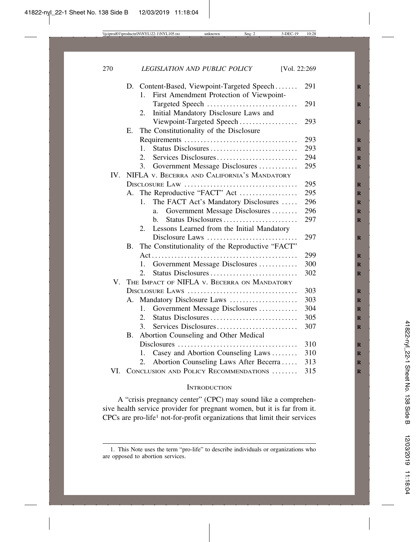|     |           | D. Content-Based, Viewpoint-Targeted Speech<br>First Amendment Protection of Viewpoint-<br>$1_{-}$ | 291 |
|-----|-----------|----------------------------------------------------------------------------------------------------|-----|
|     |           |                                                                                                    |     |
|     |           | Targeted Speech<br>2.                                                                              | 291 |
|     |           | Initial Mandatory Disclosure Laws and                                                              | 293 |
|     | E.        | Viewpoint-Targeted Speech                                                                          |     |
|     |           | The Constitutionality of the Disclosure                                                            | 293 |
|     |           | Status Disclosures<br>1.                                                                           | 293 |
|     |           | $\overline{2}$ .<br>Services Disclosures                                                           | 294 |
|     |           | 3.<br>Government Message Disclosures                                                               | 295 |
| IV. |           | NIFLA V. BECERRA AND CALIFORNIA'S MANDATORY                                                        |     |
|     |           |                                                                                                    | 295 |
|     | А.        | The Reproductive "FACT" Act                                                                        | 295 |
|     |           | The FACT Act's Mandatory Disclosures<br>$1_{\cdot}$                                                | 296 |
|     |           | Government Message Disclosures<br>a.                                                               | 296 |
|     |           | Status Disclosures<br>h.                                                                           | 297 |
|     |           | Lessons Learned from the Initial Mandatory<br>2.                                                   |     |
|     |           | Disclosure Laws                                                                                    | 297 |
|     | <b>B.</b> | The Constitutionality of the Reproductive "FACT"                                                   |     |
|     |           |                                                                                                    | 299 |
|     |           | Government Message Disclosures<br>1.                                                               | 300 |
|     |           | Status Disclosures<br>2.                                                                           | 302 |
|     |           | V. THE IMPACT OF NIFLA V. BECERRA ON MANDATORY                                                     |     |
|     |           | DISCLOSURE LAWS                                                                                    | 303 |
|     | А.        | Mandatory Disclosure Laws                                                                          | 303 |
|     |           | Government Message Disclosures<br>1.                                                               | 304 |
|     |           | 2.                                                                                                 | 305 |
|     |           | 3.<br>Services Disclosures                                                                         | 307 |
|     | B.        | Abortion Counseling and Other Medical                                                              |     |
|     |           |                                                                                                    | 310 |
|     |           | Casey and Abortion Counseling Laws<br>1.                                                           | 310 |
|     |           | Abortion Counseling Laws After Becerra<br>2.                                                       | 313 |
|     |           | VI. CONCLUSION AND POLICY RECOMMENDATIONS                                                          | 315 |

#### **INTRODUCTION**

A "crisis pregnancy center" (CPC) may sound like a comprehensive health service provider for pregnant women, but it is far from it. CPCs are pro-life1 not-for-profit organizations that limit their services

<sup>1.</sup> This Note uses the term "pro-life" to describe individuals or organizations who are opposed to abortion services.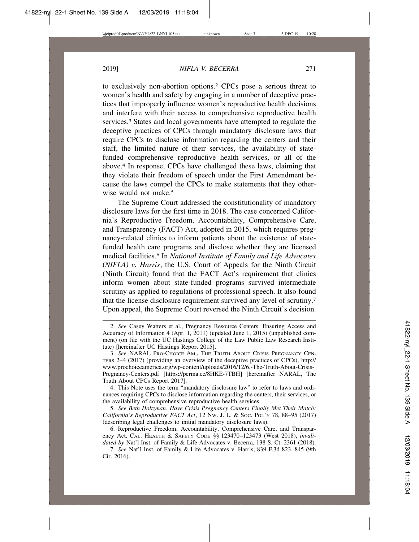to exclusively non-abortion options.2 CPCs pose a serious threat to women's health and safety by engaging in a number of deceptive practices that improperly influence women's reproductive health decisions and interfere with their access to comprehensive reproductive health services.<sup>3</sup> States and local governments have attempted to regulate the deceptive practices of CPCs through mandatory disclosure laws that require CPCs to disclose information regarding the centers and their staff, the limited nature of their services, the availability of statefunded comprehensive reproductive health services, or all of the above.4 In response, CPCs have challenged these laws, claiming that they violate their freedom of speech under the First Amendment because the laws compel the CPCs to make statements that they otherwise would not make.<sup>5</sup>

The Supreme Court addressed the constitutionality of mandatory disclosure laws for the first time in 2018. The case concerned California's Reproductive Freedom, Accountability, Comprehensive Care, and Transparency (FACT) Act, adopted in 2015, which requires pregnancy-related clinics to inform patients about the existence of statefunded health care programs and disclose whether they are licensed medical facilities.6 In *National Institute of Family and Life Advocates* (*NIFLA) v. Harris*, the U.S. Court of Appeals for the Ninth Circuit (Ninth Circuit) found that the FACT Act's requirement that clinics inform women about state-funded programs survived intermediate scrutiny as applied to regulations of professional speech. It also found that the license disclosure requirement survived any level of scrutiny.7 Upon appeal, the Supreme Court reversed the Ninth Circuit's decision.

<sup>2.</sup> *See* Casey Watters et al., Pregnancy Resource Centers: Ensuring Access and Accuracy of Information 4 (Apr. 1, 2011) (updated June 1, 2015) (unpublished comment) (on file with the UC Hastings College of the Law Public Law Research Institute) [hereinafter UC Hastings Report 2015].

<sup>3.</sup> *See* NARAL PRO-CHOICE AM., THE TRUTH ABOUT CRISIS PREGNANCY CEN-TERS 2–4 (2017) (providing an overview of the deceptive practices of CPCs), http:// www.prochoiceamerica.org/wp-content/uploads/2016/12/6.-The-Truth-About-Crisis-Pregnancy-Centers.pdf [https://perma.cc/8HKE-7TBH] [hereinafter NARAL, The Truth About CPCs Report 2017].

<sup>4.</sup> This Note uses the term "mandatory disclosure law" to refer to laws and ordinances requiring CPCs to disclose information regarding the centers, their services, or the availability of comprehensive reproductive health services.

<sup>5.</sup> *See Beth Holtzman*, *Have Crisis Pregnancy Centers Finally Met Their Match: California's Reproductive FACT Act*, 12 NW. J. L. & SOC. POL'Y 78, 88–95 (2017) (describing legal challenges to initial mandatory disclosure laws).

<sup>6.</sup> Reproductive Freedom, Accountability, Comprehensive Care, and Transparency Act, CAL. HEALTH & SAFETY CODE §§ 123470–123473 (West 2018), *invalidated by* Nat'l Inst. of Family & Life Advocates v. Becerra, 138 S. Ct. 2361 (2018).

<sup>7.</sup> *See* Nat'l Inst. of Family & Life Advocates v. Harris, 839 F.3d 823, 845 (9th Cir. 2016).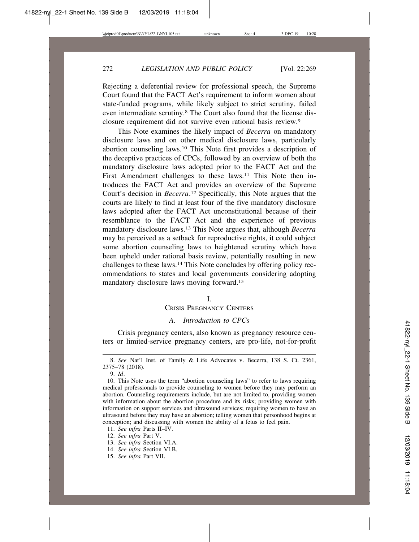Rejecting a deferential review for professional speech, the Supreme Court found that the FACT Act's requirement to inform women about state-funded programs, while likely subject to strict scrutiny, failed even intermediate scrutiny.8 The Court also found that the license disclosure requirement did not survive even rational basis review.9

This Note examines the likely impact of *Becerra* on mandatory disclosure laws and on other medical disclosure laws, particularly abortion counseling laws.10 This Note first provides a description of the deceptive practices of CPCs, followed by an overview of both the mandatory disclosure laws adopted prior to the FACT Act and the First Amendment challenges to these laws.<sup>11</sup> This Note then introduces the FACT Act and provides an overview of the Supreme Court's decision in *Becerra*. 12 Specifically, this Note argues that the courts are likely to find at least four of the five mandatory disclosure laws adopted after the FACT Act unconstitutional because of their resemblance to the FACT Act and the experience of previous mandatory disclosure laws.13 This Note argues that, although *Becerra* may be perceived as a setback for reproductive rights, it could subject some abortion counseling laws to heightened scrutiny which have been upheld under rational basis review, potentially resulting in new challenges to these laws.14 This Note concludes by offering policy recommendations to states and local governments considering adopting mandatory disclosure laws moving forward.15

## I.

# CRISIS PREGNANCY CENTERS

# *A. Introduction to CPCs*

Crisis pregnancy centers, also known as pregnancy resource centers or limited-service pregnancy centers, are pro-life, not-for-profit

<sup>8.</sup> *See* Nat'l Inst. of Family & Life Advocates v. Becerra, 138 S. Ct. 2361, 2375–78 (2018).

<sup>9.</sup> *Id*.

<sup>10.</sup> This Note uses the term "abortion counseling laws" to refer to laws requiring medical professionals to provide counseling to women before they may perform an abortion. Counseling requirements include, but are not limited to, providing women with information about the abortion procedure and its risks; providing women with information on support services and ultrasound services; requiring women to have an ultrasound before they may have an abortion; telling women that personhood begins at conception; and discussing with women the ability of a fetus to feel pain.

<sup>11.</sup> *See infra* Parts II–IV.

<sup>12.</sup> *See infra* Part V.

<sup>13.</sup> *See infra* Section VI.A.

<sup>14.</sup> *See infra* Section VI.B.

<sup>15.</sup> *See infra* Part VII.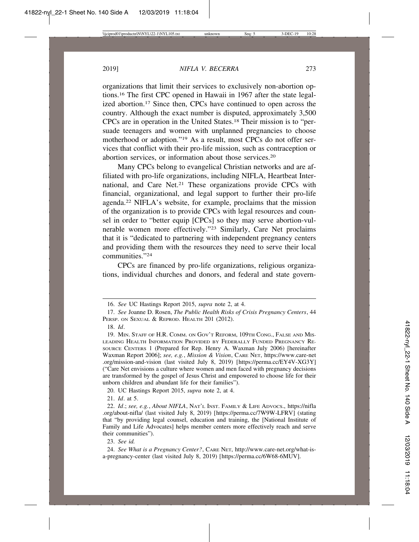organizations that limit their services to exclusively non-abortion options.16 The first CPC opened in Hawaii in 1967 after the state legalized abortion.17 Since then, CPCs have continued to open across the country. Although the exact number is disputed, approximately 3,500 CPCs are in operation in the United States.18 Their mission is to "persuade teenagers and women with unplanned pregnancies to choose motherhood or adoption."19 As a result, most CPCs do not offer services that conflict with their pro-life mission, such as contraception or abortion services, or information about those services.20

Many CPCs belong to evangelical Christian networks and are affiliated with pro-life organizations, including NIFLA, Heartbeat International, and Care Net.21 These organizations provide CPCs with financial, organizational, and legal support to further their pro-life agenda.22 NIFLA's website, for example, proclaims that the mission of the organization is to provide CPCs with legal resources and counsel in order to "better equip [CPCs] so they may serve abortion-vulnerable women more effectively."23 Similarly, Care Net proclaims that it is "dedicated to partnering with independent pregnancy centers and providing them with the resources they need to serve their local communities."24

CPCs are financed by pro-life organizations, religious organizations, individual churches and donors, and federal and state govern-

<sup>16.</sup> *See* UC Hastings Report 2015, *supra* note 2, at 4.

<sup>17.</sup> *See* Joanne D. Rosen, *The Public Health Risks of Crisis Pregnancy Centers*, 44 PERSP. ON SEXUAL & REPROD. HEALTH 201 (2012).

<sup>18.</sup> *Id*.

<sup>19.</sup> MIN. STAFF OF H.R. COMM. ON GOV'T REFORM, 109TH CONG., FALSE AND MIS-LEADING HEALTH INFORMATION PROVIDED BY FEDERALLY FUNDED PREGNANCY RE-SOURCE CENTERS 1 (Prepared for Rep. Henry A. Waxman July 2006) [hereinafter Waxman Report 2006]; *see, e.g.*, *Mission & Vision*, CARE NET, https://www.care-net .org/mission-and-vision (last visited July 8, 2019) [https://perma.cc/EY4V-XG3Y] ("Care Net envisions a culture where women and men faced with pregnancy decisions are transformed by the gospel of Jesus Christ and empowered to choose life for their unborn children and abundant life for their families").

<sup>20.</sup> UC Hastings Report 2015, *supra* note 2, at 4.

<sup>21.</sup> *Id*. at 5.

<sup>22.</sup> *Id*.; *see, e.g.*, *About NIFLA*, NAT'L INST. FAMILY & LIFE ADVOCS., https://nifla .org/about-nifla/ (last visited July 8, 2019) [https://perma.cc/7W9W-LFRV] (stating that "by providing legal counsel, education and training, the [National Institute of Family and Life Advocates] helps member centers more effectively reach and serve their communities").

<sup>23.</sup> *See id.* 

<sup>24.</sup> *See What is a Pregnancy Center?*, CARE NET, http://www.care-net.org/what-isa-pregnancy-center (last visited July 8, 2019) [https://perma.cc/6W68-6MUV].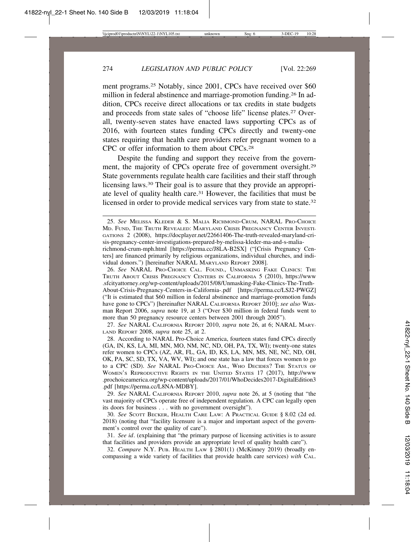ment programs.25 Notably, since 2001, CPCs have received over \$60 million in federal abstinence and marriage-promotion funding.26 In addition, CPCs receive direct allocations or tax credits in state budgets and proceeds from state sales of "choose life" license plates.27 Overall, twenty-seven states have enacted laws supporting CPCs as of 2016, with fourteen states funding CPCs directly and twenty-one states requiring that health care providers refer pregnant women to a CPC or offer information to them about CPCs.28

Despite the funding and support they receive from the government, the majority of CPCs operate free of government oversight.29 State governments regulate health care facilities and their staff through licensing laws.<sup>30</sup> Their goal is to assure that they provide an appropriate level of quality health care.31 However, the facilities that must be licensed in order to provide medical services vary from state to state.32

26. *See* NARAL PRO-CHOICE CAL. FOUND., UNMASKING FAKE CLINICS: THE TRUTH ABOUT CRISIS PREGNANCY CENTERS IN CALIFORNIA 5 (2010), https://www .sfcityattorney.org/wp-content/uploads/2015/08/Unmasking-Fake-Clinics-The-Truth-About-Crisis-Pregnancy-Centers-in-California-.pdf [https://perma.cc/LSJ2-PWGZ] ("It is estimated that \$60 million in federal abstinence and marriage-promotion funds have gone to CPCs") [hereinafter NARAL CALIFORNIA REPORT 2010]; *see also* Waxman Report 2006, *supra* note 19, at 3 ("Over \$30 million in federal funds went to more than 50 pregnancy resource centers between 2001 through 2005").

27. *See* NARAL CALIFORNIA REPORT 2010, *supra* note 26, at 6; NARAL MARY-LAND REPORT 2008, *supra* note 25, at 2.

28. According to NARAL Pro-Choice America, fourteen states fund CPCs directly (GA, IN, KS, LA, MI, MN, MO, NM, NC, ND, OH, PA, TX, WI); twenty-one states refer women to CPCs (AZ, AR, FL, GA, ID, KS, LA, MN, MS, NE, NC, ND, OH, OK, PA, SC, SD, TX, VA, WV, WI); and one state has a law that forces women to go to a CPC (SD). *See* NARAL PRO-CHOICE AM., WHO DECIDES? THE STATUS OF WOMEN'S REPRODUCTIVE RIGHTS IN THE UNITED STATES 17 (2017), http://www .prochoiceamerica.org/wp-content/uploads/2017/01/WhoDecides2017-DigitalEdition3 .pdf [https://perma.cc/L8NA-MDBY].

29. *See* NARAL CALIFORNIA REPORT 2010, *supra* note 26, at 5 (noting that "the vast majority of CPCs operate free of independent regulation. A CPC can legally open its doors for business . . . with no government oversight").

30. *See* SCOTT BECKER, HEALTH CARE LAW: A PRACTICAL GUIDE § 8.02 (2d ed. 2018) (noting that "facility licensure is a major and important aspect of the government's control over the quality of care").

31. *See id*. (explaining that "the primary purpose of licensing activities is to assure that facilities and providers provide an appropriate level of quality health care").

32. *Compare* N.Y. PUB. HEALTH LAW § 2801(1) (McKinney 2019) (broadly encompassing a wide variety of facilities that provide health care services) *with* CAL.

<sup>25.</sup> *See* MELISSA KLEDER & S. MALIA RICHMOND-CRUM, NARAL PRO-CHOICE MD. FUND, THE TRUTH REVEALED: MARYLAND CRISIS PREGNANCY CENTER INVESTI-GATIONS 2 (2008), https://docplayer.net/22661406-The-truth-revealed-maryland-crisis-pregnancy-center-investigations-prepared-by-melissa-kleder-ma-and-s-malia-

richmond-crum-mph.html [https://perma.cc/J8LA-B2SX] ("[Crisis Pregnancy Centers] are financed primarily by religious organizations, individual churches, and individual donors.") [hereinafter NARAL MARYLAND REPORT 2008].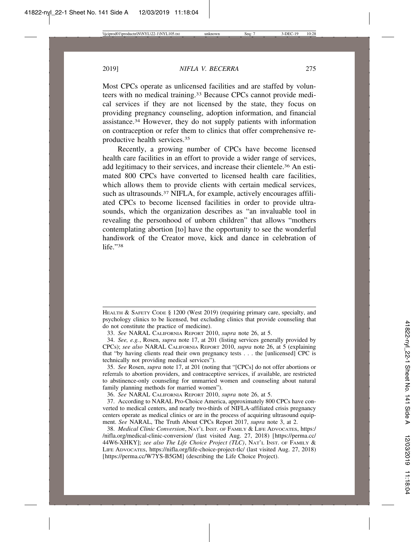Most CPCs operate as unlicensed facilities and are staffed by volunteers with no medical training.33 Because CPCs cannot provide medical services if they are not licensed by the state, they focus on providing pregnancy counseling, adoption information, and financial assistance.34 However, they do not supply patients with information on contraception or refer them to clinics that offer comprehensive reproductive health services.35

Recently, a growing number of CPCs have become licensed health care facilities in an effort to provide a wider range of services, add legitimacy to their services, and increase their clientele.<sup>36</sup> An estimated 800 CPCs have converted to licensed health care facilities, which allows them to provide clients with certain medical services, such as ultrasounds.<sup>37</sup> NIFLA, for example, actively encourages affiliated CPCs to become licensed facilities in order to provide ultrasounds, which the organization describes as "an invaluable tool in revealing the personhood of unborn children" that allows "mothers contemplating abortion [to] have the opportunity to see the wonderful handiwork of the Creator move, kick and dance in celebration of life."38

HEALTH & SAFETY CODE § 1200 (West 2019) (requiring primary care, specialty, and psychology clinics to be licensed, but excluding clinics that provide counseling that do not constitute the practice of medicine).

<sup>33.</sup> *See* NARAL CALIFORNIA REPORT 2010, *supra* note 26, at 5.

<sup>34.</sup> *See, e.g.*, Rosen, *supra* note 17, at 201 (listing services generally provided by CPCs); *see also* NARAL CALIFORNIA REPORT 2010, *supra* note 26, at 5 (explaining that "by having clients read their own pregnancy tests . . . the [unlicensed] CPC is technically not providing medical services").

<sup>35.</sup> *See* Rosen, *supra* note 17, at 201 (noting that "[CPCs] do not offer abortions or referrals to abortion providers, and contraceptive services, if available, are restricted to abstinence-only counseling for unmarried women and counseling about natural family planning methods for married women").

<sup>36.</sup> *See* NARAL CALIFORNIA REPORT 2010, *supra* note 26, at 5.

<sup>37.</sup> According to NARAL Pro-Choice America, approximately 800 CPCs have converted to medical centers, and nearly two-thirds of NIFLA-affiliated crisis pregnancy centers operate as medical clinics or are in the process of acquiring ultrasound equipment. *See* NARAL, The Truth About CPCs Report 2017, *supra* note 3, at 2.

<sup>38.</sup> *Medical Clinic Conversion*, NAT'L INST. OF FAMILY & LIFE ADVOCATES, https:/ /nifla.org/medical-clinic-conversion/ (last visited Aug. 27, 2018) [https://perma.cc/ 44W6-XHKY]; *see also The Life Choice Project (TLC)*, NAT'L INST. OF FAMILY & LIFE ADVOCATES, https://nifla.org/life-choice-project-tlc/ (last visited Aug. 27, 2018) [https://perma.cc/W7YS-B5GM] (describing the Life Choice Project).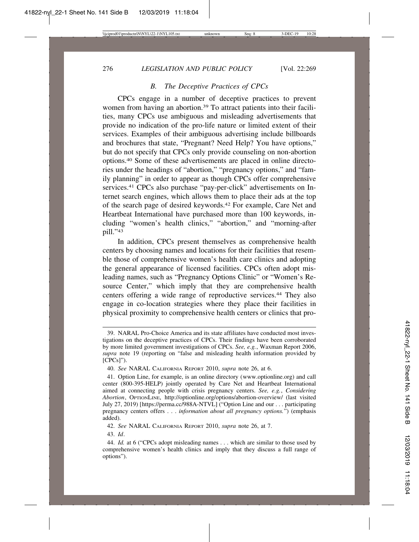## *B. The Deceptive Practices of CPCs*

CPCs engage in a number of deceptive practices to prevent women from having an abortion.<sup>39</sup> To attract patients into their facilities, many CPCs use ambiguous and misleading advertisements that provide no indication of the pro-life nature or limited extent of their services. Examples of their ambiguous advertising include billboards and brochures that state, "Pregnant? Need Help? You have options," but do not specify that CPCs only provide counseling on non-abortion options.40 Some of these advertisements are placed in online directories under the headings of "abortion," "pregnancy options," and "family planning" in order to appear as though CPCs offer comprehensive services.<sup>41</sup> CPCs also purchase "pay-per-click" advertisements on Internet search engines, which allows them to place their ads at the top of the search page of desired keywords.42 For example, Care Net and Heartbeat International have purchased more than 100 keywords, including "women's health clinics," "abortion," and "morning-after pill."43

In addition, CPCs present themselves as comprehensive health centers by choosing names and locations for their facilities that resemble those of comprehensive women's health care clinics and adopting the general appearance of licensed facilities. CPCs often adopt misleading names, such as "Pregnancy Options Clinic" or "Women's Resource Center," which imply that they are comprehensive health centers offering a wide range of reproductive services.44 They also engage in co-location strategies where they place their facilities in physical proximity to comprehensive health centers or clinics that pro-

42. *See* NARAL CALIFORNIA REPORT 2010, *supra* note 26, at 7.

43. *Id*.

<sup>39.</sup> NARAL Pro-Choice America and its state affiliates have conducted most investigations on the deceptive practices of CPCs. Their findings have been corroborated by more limited government investigations of CPCs. *See, e.g.*, Waxman Report 2006, *supra* note 19 (reporting on "false and misleading health information provided by [CPCs]").

<sup>40.</sup> *See* NARAL CALIFORNIA REPORT 2010, *supra* note 26, at 6.

<sup>41.</sup> Option Line, for example, is an online directory (www.optionline.org) and call center (800-395-HELP) jointly operated by Care Net and Heartbeat International aimed at connecting people with crisis pregnancy centers. *See, e.g.*, *Considering Abortion*, OPTIONLINE, http://optionline.org/options/abortion-overview/ (last visited July 27, 2019) [https://perma.cc/988A-NTVL] ("Option Line and our . . . participating pregnancy centers offers . . . *information about all pregnancy options.*") (emphasis added).

<sup>44.</sup> *Id.* at 6 ("CPCs adopt misleading names . . . which are similar to those used by comprehensive women's health clinics and imply that they discuss a full range of options").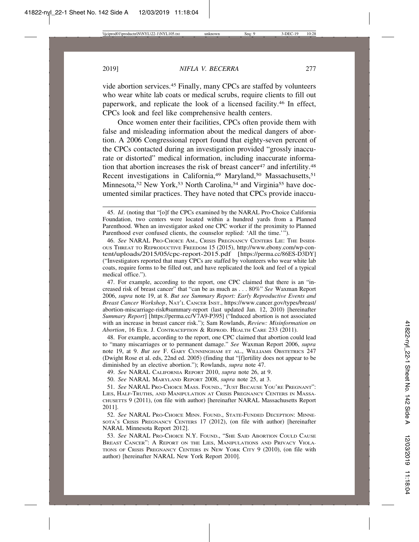vide abortion services.45 Finally, many CPCs are staffed by volunteers who wear white lab coats or medical scrubs, require clients to fill out paperwork, and replicate the look of a licensed facility.46 In effect, CPCs look and feel like comprehensive health centers.

Once women enter their facilities, CPCs often provide them with false and misleading information about the medical dangers of abortion. A 2006 Congressional report found that eighty-seven percent of the CPCs contacted during an investigation provided "grossly inaccurate or distorted" medical information, including inaccurate information that abortion increases the risk of breast cancer<sup>47</sup> and infertility.<sup>48</sup> Recent investigations in California,<sup>49</sup> Maryland,<sup>50</sup> Massachusetts,<sup>51</sup> Minnesota,<sup>52</sup> New York,<sup>53</sup> North Carolina,<sup>54</sup> and Virginia<sup>55</sup> have documented similar practices. They have noted that CPCs provide inaccu-

47. For example, according to the report, one CPC claimed that there is an "increased risk of breast cancer" that "can be as much as . . . 80%" *See* Waxman Report 2006, *supra* note 19, at 8. *But see Summary Report: Early Reproductive Events and Breast Cancer Workshop*, NAT'L CANCER INST., https://www.cancer.gov/types/breast/ abortion-miscarriage-risk#summary-report (last updated Jan. 12, 2010) [hereinafter *Summary Report*] [https://perma.cc/V7A9-P395] ("Induced abortion is not associated with an increase in breast cancer risk."); Sam Rowlands, *Review: Misinformation on Abortion*, 16 EUR. J. CONTRACEPTION & REPROD. HEALTH CARE 233 (2011).

48. For example, according to the report, one CPC claimed that abortion could lead to "many miscarriages or to permanent damage." *See* Waxman Report 2006, *supra* note 19, at 9. *But see* F. GARY CUNNINGHAM ET AL., WILLIAMS OBSTETRICS 247 (Dwight Rose et al. eds, 22nd ed. 2005) (finding that "[f]ertility does not appear to be diminished by an elective abortion."); Rowlands, *supra* note 47.

49. *See* NARAL CALIFORNIA REPORT 2010, *supra* note 26, at 9.

50. *See* NARAL MARYLAND REPORT 2008, *supra* note 25, at 3.

51. *See* NARAL PRO-CHOICE MASS. FOUND., "JUST BECAUSE YOU'RE PREGNANT": LIES, HALF-TRUTHS, AND MANIPULATION AT CRISIS PREGNANCY CENTERS IN MASSA-CHUSETTS 9 (2011), (on file with author) [hereinafter NARAL Massachusetts Report 2011].

52. *See* NARAL PRO-CHOICE MINN. FOUND., STATE-FUNDED DECEPTION: MINNE-SOTA'S CRISIS PREGNANCY CENTERS 17 (2012), (on file with author) [hereinafter NARAL Minnesota Report 2012].

53. *See* NARAL PRO-CHOICE N.Y. FOUND., "SHE SAID ABORTION COULD CAUSE BREAST CANCER": A REPORT ON THE LIES, MANIPULATIONS AND PRIVACY VIOLA-TIONS OF CRISIS PREGNANCY CENTERS IN NEW YORK CITY 9 (2010), (on file with author) [hereinafter NARAL New York Report 2010].

<sup>45.</sup> *Id*. (noting that "[o]f the CPCs examined by the NARAL Pro-Choice California Foundation, two centers were located within a hundred yards from a Planned Parenthood. When an investigator asked one CPC worker if the proximity to Planned Parenthood ever confused clients, the counselor replied: 'All the time.'").

<sup>46.</sup> *See* NARAL PRO-CHOICE AM., CRISIS PREGNANCY CENTERS LIE: THE INSIDI-OUS THREAT TO REPRODUCTIVE FREEDOM 15 (2015), http://www.ebony.com/wp-content/uploads/2015/05/cpc-report-2015.pdf [https://perma.cc/86ES-D3DY] ("Investigators reported that many CPCs are staffed by volunteers who wear white lab coats, require forms to be filled out, and have replicated the look and feel of a typical medical office.").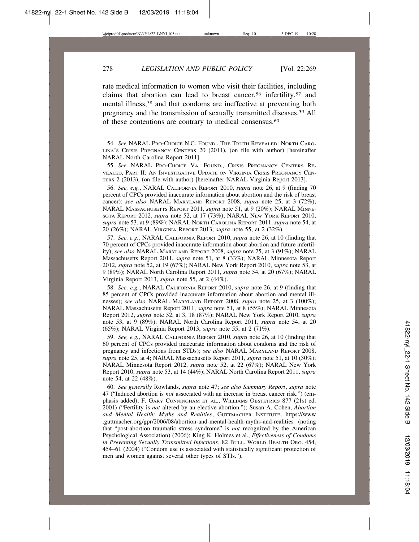rate medical information to women who visit their facilities, including claims that abortion can lead to breast cancer,<sup>56</sup> infertility,<sup>57</sup> and mental illness,58 and that condoms are ineffective at preventing both pregnancy and the transmission of sexually transmitted diseases.59 All of these contentions are contrary to medical consensus.60

55. *See* NARAL PRO-CHOICE VA. FOUND., CRISIS PREGNANCY CENTERS RE-VEALED, PART II: AN INVESTIGATIVE UPDATE ON VIRGINIA CRISIS PREGNANCY CEN-TERS 2 (2013), (on file with author) [hereinafter NARAL Virginia Report 2013].

56. *See, e.g.*, NARAL CALIFORNIA REPORT 2010, *supra* note 26, at 9 (finding 70 percent of CPCs provided inaccurate information about abortion and the risk of breast cancer); *see also* NARAL MARYLAND REPORT 2008, *supra* note 25, at 3 (72%); NARAL MASSACHUSETTS REPORT 2011, *supra* note 51, at 9 (20%); NARAL MINNE-SOTA REPORT 2012, *supra* note 52, at 17 (73%); NARAL NEW YORK REPORT 2010, *supra* note 53, at 9 (89%); NARAL NORTH CAROLINA REPORT 2011, *supra* note 54, at 20 (26%); NARAL VIRGINIA REPORT 2013, *supra* note 55, at 2 (32%).

57. *See, e.g.*, NARAL CALIFORNIA REPORT 2010, *supra* note 26, at 10 (finding that 70 percent of CPCs provided inaccurate information about abortion and future infertility); *see also* NARAL MARYLAND REPORT 2008, *supra* note 25, at 3 (91%); NARAL Massachusetts Report 2011, *supra* note 51, at 8 (33%); NARAL Minnesota Report 2012, *supra* note 52, at 19 (67%); NARAL New York Report 2010, *supra* note 53, at 9 (89%); NARAL North Carolina Report 2011, *supra* note 54, at 20 (67%); NARAL Virginia Report 2013, *supra* note 55, at 2 (44%).

58. *See, e.g.*, NARAL CALIFORNIA REPORT 2010, *supra* note 26, at 9 (finding that 85 percent of CPCs provided inaccurate information about abortion and mental illnesses); *see also* NARAL MARYLAND REPORT 2008, *supra* note 25, at 3 (100%); NARAL Massachusetts Report 2011, *supra* note 51, at 8 (55%); NARAL Minnesota Report 2012, *supra* note 52, at 3, 18 (87%); NARAL New York Report 2010, *supra* note 53, at 9 (89%); NARAL North Carolina Report 2011, *supra* note 54, at 20 (65%); NARAL Virginia Report 2013, *supra* note 55, at 2 (71%).

59. *See, e.g.*, NARAL CALIFORNIA REPORT 2010, *supra* note 26, at 10 (finding that 60 percent of CPCs provided inaccurate information about condoms and the risk of pregnancy and infections from STDs); *see also* NARAL MARYLAND REPORT 2008, *supra* note 25, at 4; NARAL Massachusetts Report 2011, *supra* note 51, at 10 (30%); NARAL Minnesota Report 2012, *supra* note 52, at 22 (67%); NARAL New York Report 2010, *supra* note 53, at 14 (44%); NARAL North Carolina Report 2011, *supra* note 54, at 22 (48%).

60. *See generally* Rowlands, *supra* note 47; *see also Summary Report*, *supra* note 47 ("Induced abortion is *not* associated with an increase in breast cancer risk.") (emphasis added); F. GARY CUNNINGHAM ET AL., WILLIAMS OBSTETRICS 877 (21st ed. 2001) ("Fertility is *not* altered by an elective abortion."); Susan A. Cohen, *Abortion and Mental Health: Myths and Realities*, GUTTMACHER INSTITUTE, https://www .guttmacher.org/gpr/2006/08/abortion-and-mental-health-myths-and-realities (noting that "post-abortion traumatic stress syndrome" is *not* recognized by the American Psychological Association) (2006); King K. Holmes et al., *Effectiveness of Condoms in Preventing Sexually Transmitted Infections*, 82 BULL. WORLD HEALTH ORG. 454, 454–61 (2004) ("Condom use is associated with statistically significant protection of men and women against several other types of STIs.").

<sup>54.</sup> *See* NARAL PRO-CHOICE N.C. FOUND., THE TRUTH REVEALED: NORTH CARO-LINA'S CRISIS PREGNANCY CENTERS 20 (2011), (on file with author) [hereinafter NARAL North Carolina Report 2011].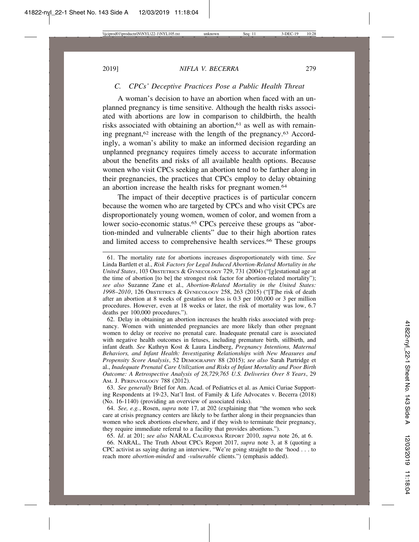# *C. CPCs' Deceptive Practices Pose a Public Health Threat*

A woman's decision to have an abortion when faced with an unplanned pregnancy is time sensitive. Although the health risks associated with abortions are low in comparison to childbirth, the health risks associated with obtaining an abortion,<sup>61</sup> as well as with remaining pregnant, $62$  increase with the length of the pregnancy. $63$  Accordingly, a woman's ability to make an informed decision regarding an unplanned pregnancy requires timely access to accurate information about the benefits and risks of all available health options. Because women who visit CPCs seeking an abortion tend to be farther along in their pregnancies, the practices that CPCs employ to delay obtaining an abortion increase the health risks for pregnant women.<sup>64</sup>

The impact of their deceptive practices is of particular concern because the women who are targeted by CPCs and who visit CPCs are disproportionately young women, women of color, and women from a lower socio-economic status.<sup>65</sup> CPCs perceive these groups as "abortion-minded and vulnerable clients" due to their high abortion rates and limited access to comprehensive health services.<sup>66</sup> These groups

62. Delay in obtaining an abortion increases the health risks associated with pregnancy. Women with unintended pregnancies are more likely than other pregnant women to delay or receive no prenatal care. Inadequate prenatal care is associated with negative health outcomes in fetuses, including premature birth, stillbirth, and infant death. *See* Kathryn Kost & Laura Lindberg, *Pregnancy Intentions, Maternal Behaviors, and Infant Health: Investigating Relationships with New Measures and Propensity Score Analysis*, 52 DEMOGRAPHY 88 (2015); *see also* Sarah Partridge et al., *Inadequate Prenatal Care Utilization and Risks of Infant Mortality and Poor Birth Outcome: A Retrospective Analysis of 28,729,765 U.S. Deliveries Over 8 Years*, 29 AM. J. PERINATOLOGY 788 (2012).

63. *See generally* Brief for Am. Acad. of Pediatrics et al. as Amici Curiae Supporting Respondents at 19-23, Nat'l Inst. of Family & Life Advocates v. Becerra (2018) (No. 16-1140) (providing an overview of associated risks).

64. *See, e.g.*, Rosen, *supra* note 17, at 202 (explaining that "the women who seek care at crisis pregnancy centers are likely to be farther along in their pregnancies than women who seek abortions elsewhere, and if they wish to terminate their pregnancy, they require immediate referral to a facility that provides abortions.").

65. *Id*. at 201; *see also* NARAL CALIFORNIA REPORT 2010, *supra* note 26, at 6.

66. NARAL, The Truth About CPCs Report 2017, *supra* note 3, at 8 (quoting a CPC activist as saying during an interview, "We're going straight to the 'hood . . . to reach more *abortion-minded* and *-vulnerable* clients.") (emphasis added).

<sup>61.</sup> The mortality rate for abortions increases disproportionately with time. *See* Linda Bartlett et al., *Risk Factors for Legal Induced Abortion-Related Mortality in the United States*, 103 OBSTETRICS & GYNECOLOGY 729, 731 (2004) ("[g]estational age at the time of abortion [to be] the strongest risk factor for abortion-related mortality"); *see also* Suzanne Zane et al., *Abortion-Related Mortality in the United States: 1998–2010*, 126 OBSTETRICS & GYNECOLOGY 258, 263 (2015) ("[T]he risk of death after an abortion at 8 weeks of gestation or less is 0.3 per 100,000 or 3 per million procedures. However, even at 18 weeks or later, the risk of mortality was low, 6.7 deaths per 100,000 procedures.").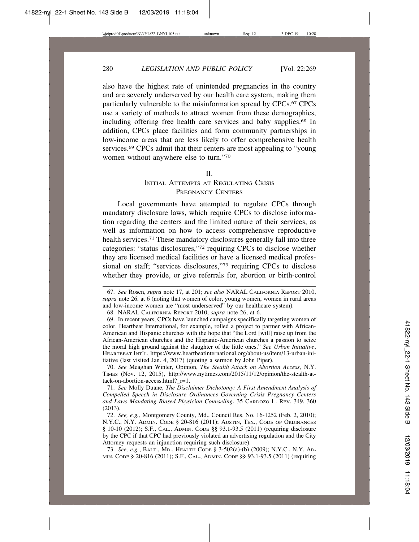also have the highest rate of unintended pregnancies in the country and are severely underserved by our health care system, making them particularly vulnerable to the misinformation spread by CPCs.<sup>67</sup> CPCs use a variety of methods to attract women from these demographics, including offering free health care services and baby supplies.<sup>68</sup> In addition, CPCs place facilities and form community partnerships in low-income areas that are less likely to offer comprehensive health services.<sup>69</sup> CPCs admit that their centers are most appealing to "young" women without anywhere else to turn."70

#### $II$ .

# INITIAL ATTEMPTS AT REGULATING CRISIS PREGNANCY CENTERS

Local governments have attempted to regulate CPCs through mandatory disclosure laws, which require CPCs to disclose information regarding the centers and the limited nature of their services, as well as information on how to access comprehensive reproductive health services.<sup>71</sup> These mandatory disclosures generally fall into three categories: "status disclosures,"72 requiring CPCs to disclose whether they are licensed medical facilities or have a licensed medical professional on staff; "services disclosures,"73 requiring CPCs to disclose whether they provide, or give referrals for, abortion or birth-control

70. *See* Meaghan Winter, Opinion, *The Stealth Attack on Abortion Access*, N.Y. TIMES (Nov. 12, 2015), http://www.nytimes.com/2015/11/12/opinion/the-stealth-attack-on-abortion-access.html?\_r=1.

71. *See* Molly Duane, *The Disclaimer Dichotomy: A First Amendment Analysis of Compelled Speech in Disclosure Ordinances Governing Crisis Pregnancy Centers and Laws Mandating Biased Physician Counseling*, 35 CARDOZO L. REV. 349, 360 (2013).

73. *See, e.g.*, BALT., MD., HEALTH CODE § 3-502(a)-(b) (2009); N.Y.C., N.Y. AD-MIN. CODE § 20-816 (2011); S.F., CAL., ADMIN. CODE §§ 93.1-93.5 (2011) (requiring

<sup>67.</sup> *See* Rosen, *supra* note 17, at 201; *see also* NARAL CALIFORNIA REPORT 2010, *supra* note 26, at 6 (noting that women of color, young women, women in rural areas and low-income women are "most underserved" by our healthcare system).

<sup>68.</sup> NARAL CALIFORNIA REPORT 2010, *supra* note 26, at 6.

<sup>69.</sup> In recent years, CPCs have launched campaigns specifically targeting women of color. Heartbeat International, for example, rolled a project to partner with African-American and Hispanic churches with the hope that "the Lord [will] raise up from the African-American churches and the Hispanic-American churches a passion to seize the moral high ground against the slaughter of the little ones." *See Urban Initiative*, HEARTBEAT INT'L, https://www.heartbeatinternational.org/about-us/item/13-urban-initiative (last visited Jan. 4, 2017) (quoting a sermon by John Piper).

<sup>72.</sup> *See, e.g.*, Montgomery County, Md., Council Res. No. 16-1252 (Feb. 2, 2010); N.Y.C., N.Y. ADMIN. CODE § 20-816 (2011); AUSTIN, TEX., CODE OF ORDINANCES § 10-10 (2012); S.F., CAL., ADMIN. CODE §§ 93.1-93.5 (2011) (requiring disclosure by the CPC if that CPC had previously violated an advertising regulation and the City Attorney requests an injunction requiring such disclosure).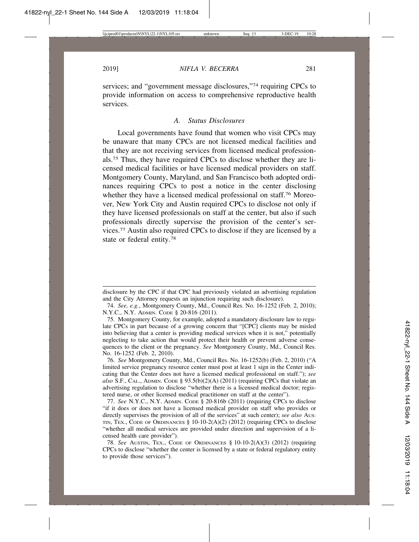services; and "government message disclosures,"74 requiring CPCs to provide information on access to comprehensive reproductive health services.

#### *A. Status Disclosures*

Local governments have found that women who visit CPCs may be unaware that many CPCs are not licensed medical facilities and that they are not receiving services from licensed medical professionals.75 Thus, they have required CPCs to disclose whether they are licensed medical facilities or have licensed medical providers on staff. Montgomery County, Maryland, and San Francisco both adopted ordinances requiring CPCs to post a notice in the center disclosing whether they have a licensed medical professional on staff.76 Moreover, New York City and Austin required CPCs to disclose not only if they have licensed professionals on staff at the center, but also if such professionals directly supervise the provision of the center's services.77 Austin also required CPCs to disclose if they are licensed by a state or federal entity.78

disclosure by the CPC if that CPC had previously violated an advertising regulation and the City Attorney requests an injunction requiring such disclosure).

<sup>74.</sup> *See, e.g.*, Montgomery County, Md., Council Res. No. 16-1252 (Feb. 2, 2010); N.Y.C., N.Y. ADMIN. CODE § 20-816 (2011).

<sup>75.</sup> Montgomery County, for example, adopted a mandatory disclosure law to regulate CPCs in part because of a growing concern that "[CPC] clients may be misled into believing that a center is providing medical services when it is not," potentially neglecting to take action that would protect their health or prevent adverse consequences to the client or the pregnancy. *See* Montgomery County, Md., Council Res. No. 16-1252 (Feb. 2, 2010).

<sup>76.</sup> *See* Montgomery County, Md., Council Res. No. 16-1252(b) (Feb. 2, 2010) ("A limited service pregnancy resource center must post at least 1 sign in the Center indicating that the Center does not have a licensed medical professional on staff."); *see also* S.F., CAL., ADMIN. CODE § 93.5(b)(2)(A) (2011) (requiring CPCs that violate an advertising regulation to disclose "whether there is a licensed medical doctor; registered nurse, or other licensed medical practitioner on staff at the center").

<sup>77.</sup> *See* N.Y.C., N.Y. ADMIN. CODE § 20-816b (2011) (requiring CPCs to disclose "if it does or does not have a licensed medical provider on staff who provides or directly supervises the provision of all of the services" at such center); *see also* AUS-TIN, TEX., CODE OF ORDINANCES § 10-10-2(A)(2) (2012) (requiring CPCs to disclose "whether all medical services are provided under direction and supervision of a licensed health care provider").

<sup>78.</sup> *See* AUSTIN, TEX., CODE OF ORDINANCES § 10-10-2(A)(3) (2012) (requiring CPCs to disclose "whether the center is licensed by a state or federal regulatory entity to provide those services").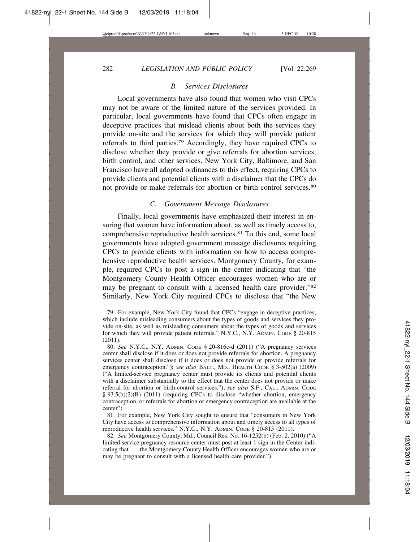#### *B. Services Disclosures*

Local governments have also found that women who visit CPCs may not be aware of the limited nature of the services provided. In particular, local governments have found that CPCs often engage in deceptive practices that mislead clients about both the services they provide on-site and the services for which they will provide patient referrals to third parties.79 Accordingly, they have required CPCs to disclose whether they provide or give referrals for abortion services, birth control, and other services. New York City, Baltimore, and San Francisco have all adopted ordinances to this effect, requiring CPCs to provide clients and potential clients with a disclaimer that the CPCs do not provide or make referrals for abortion or birth-control services.80

### *C. Government Message Disclosures*

Finally, local governments have emphasized their interest in ensuring that women have information about, as well as timely access to, comprehensive reproductive health services.81 To this end, some local governments have adopted government message disclosures requiring CPCs to provide clients with information on how to access comprehensive reproductive health services. Montgomery County, for example, required CPCs to post a sign in the center indicating that "the Montgomery County Health Officer encourages women who are or may be pregnant to consult with a licensed health care provider."82 Similarly, New York City required CPCs to disclose that "the New

<sup>79.</sup> For example, New York City found that CPCs "engage in deceptive practices, which include misleading consumers about the types of goods and services they provide on-site, as well as misleading consumers about the types of goods and services for which they will provide patient referrals." N.Y.C., N.Y. ADMIN. CODE § 20-815 (2011).

<sup>80.</sup> *See* N.Y.C., N.Y. ADMIN. CODE § 20-816c-d (2011) ("A pregnancy services center shall disclose if it does or does not provide referrals for abortion. A pregnancy services center shall disclose if it does or does not provide or provide referrals for emergency contraception."); *see also* BALT., MD., HEALTH CODE § 3-502(a) (2009) ("A limited-service pregnancy center must provide its clients and potential clients with a disclaimer substantially to the effect that the center does not provide or make referral for abortion or birth-control services."); *see also* S.F., CAL., ADMIN. CODE § 93.5(b)(2)(B) (2011) (requiring CPCs to disclose "whether abortion, emergency contraception, or referrals for abortion or emergency contraception are available at the center").

<sup>81.</sup> For example, New York City sought to ensure that "consumers in New York City have access to comprehensive information about and timely access to all types of reproductive health services." N.Y.C., N.Y. ADMIN. CODE § 20-815 (2011).

<sup>82.</sup> *See* Montgomery County, Md., Council Res. No. 16-1252(b) (Feb. 2, 2010) ("A limited service pregnancy resource center must post at least 1 sign in the Center indicating that . . . the Montgomery County Health Officer encourages women who are or may be pregnant to consult with a licensed health care provider.").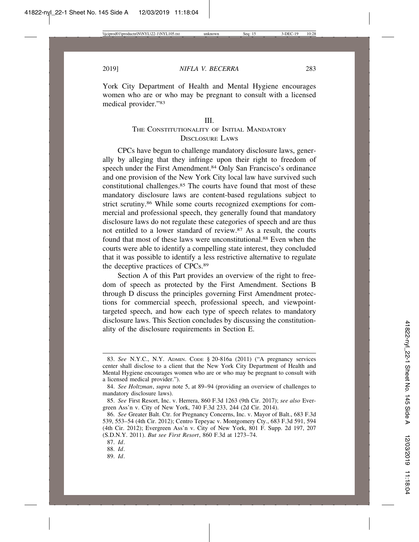York City Department of Health and Mental Hygiene encourages women who are or who may be pregnant to consult with a licensed medical provider."83

#### III.

# THE CONSTITUTIONALITY OF INITIAL MANDATORY DISCLOSURE LAWS

CPCs have begun to challenge mandatory disclosure laws, generally by alleging that they infringe upon their right to freedom of speech under the First Amendment.<sup>84</sup> Only San Francisco's ordinance and one provision of the New York City local law have survived such constitutional challenges.85 The courts have found that most of these mandatory disclosure laws are content-based regulations subject to strict scrutiny.86 While some courts recognized exemptions for commercial and professional speech, they generally found that mandatory disclosure laws do not regulate these categories of speech and are thus not entitled to a lower standard of review.87 As a result, the courts found that most of these laws were unconstitutional.<sup>88</sup> Even when the courts were able to identify a compelling state interest, they concluded that it was possible to identify a less restrictive alternative to regulate the deceptive practices of CPCs.89

Section A of this Part provides an overview of the right to freedom of speech as protected by the First Amendment. Sections B through D discuss the principles governing First Amendment protections for commercial speech, professional speech, and viewpointtargeted speech, and how each type of speech relates to mandatory disclosure laws. This Section concludes by discussing the constitutionality of the disclosure requirements in Section E.

89. *Id*.

<sup>83.</sup> *See* N.Y.C., N.Y. ADMIN. CODE § 20-816a (2011) ("A pregnancy services center shall disclose to a client that the New York City Department of Health and Mental Hygiene encourages women who are or who may be pregnant to consult with a licensed medical provider.").

<sup>84.</sup> *See Holtzman*, *supra* note 5, at 89–94 (providing an overview of challenges to mandatory disclosure laws).

<sup>85.</sup> *See* First Resort, Inc. v. Herrera, 860 F.3d 1263 (9th Cir. 2017); *see also* Evergreen Ass'n v. City of New York, 740 F.3d 233, 244 (2d Cir. 2014).

<sup>86.</sup> *See* Greater Balt. Ctr. for Pregnancy Concerns, Inc. v. Mayor of Balt., 683 F.3d 539, 553–54 (4th Cir. 2012); Centro Tepeyac v. Montgomery Cty., 683 F.3d 591, 594 (4th Cir. 2012); Evergreen Ass'n v. City of New York, 801 F. Supp. 2d 197, 207 (S.D.N.Y. 2011). *But see First Resort*, 860 F.3d at 1273–74.

<sup>87.</sup> *Id*.

<sup>88.</sup> *Id*.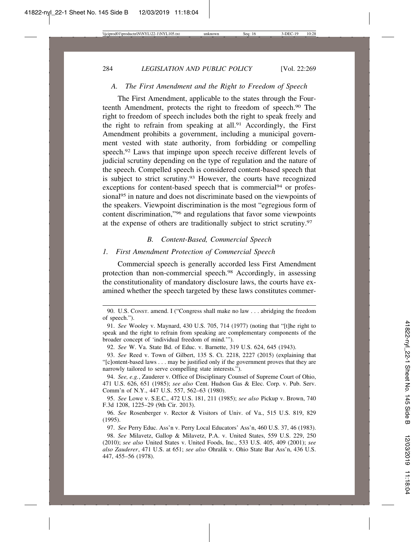#### *A. The First Amendment and the Right to Freedom of Speech*

The First Amendment, applicable to the states through the Fourteenth Amendment, protects the right to freedom of speech.90 The right to freedom of speech includes both the right to speak freely and the right to refrain from speaking at all.<sup>91</sup> Accordingly, the First Amendment prohibits a government, including a municipal government vested with state authority, from forbidding or compelling speech.<sup>92</sup> Laws that impinge upon speech receive different levels of judicial scrutiny depending on the type of regulation and the nature of the speech. Compelled speech is considered content-based speech that is subject to strict scrutiny.93 However, the courts have recognized exceptions for content-based speech that is commercial<sup>94</sup> or professional<sup>95</sup> in nature and does not discriminate based on the viewpoints of the speakers. Viewpoint discrimination is the most "egregious form of content discrimination,"96 and regulations that favor some viewpoints at the expense of others are traditionally subject to strict scrutiny.97

#### *B. Content-Based, Commercial Speech*

# *1. First Amendment Protection of Commercial Speech*

Commercial speech is generally accorded less First Amendment protection than non-commercial speech.98 Accordingly, in assessing the constitutionality of mandatory disclosure laws, the courts have examined whether the speech targeted by these laws constitutes commer-

<sup>90.</sup> U.S. CONST. amend. I ("Congress shall make no law . . . abridging the freedom of speech.").

<sup>91.</sup> *See* Wooley v. Maynard, 430 U.S. 705, 714 (1977) (noting that "[t]he right to speak and the right to refrain from speaking are complementary components of the broader concept of 'individual freedom of mind.'").

<sup>92.</sup> *See* W. Va. State Bd. of Educ. v. Barnette, 319 U.S. 624, 645 (1943).

<sup>93.</sup> *See* Reed v. Town of Gilbert, 135 S. Ct. 2218, 2227 (2015) (explaining that "[c]ontent-based laws . . . may be justified only if the government proves that they are narrowly tailored to serve compelling state interests.").

<sup>94.</sup> *See, e.g.*, Zauderer v. Office of Disciplinary Counsel of Supreme Court of Ohio, 471 U.S. 626, 651 (1985); *see also* Cent. Hudson Gas & Elec. Corp. v. Pub. Serv. Comm'n of N.Y., 447 U.S. 557, 562–63 (1980).

<sup>95.</sup> *See* Lowe v. S.E.C., 472 U.S. 181, 211 (1985); *see also* Pickup v. Brown, 740 F.3d 1208, 1225–29 (9th Cir. 2013).

<sup>96.</sup> *See* Rosenberger v. Rector & Visitors of Univ. of Va., 515 U.S. 819, 829 (1995).

<sup>97.</sup> *See* Perry Educ. Ass'n v. Perry Local Educators' Ass'n, 460 U.S. 37, 46 (1983).

<sup>98.</sup> *See* Milavetz, Gallop & Milavetz, P.A. v. United States, 559 U.S. 229, 250 (2010); *see also* United States v. United Foods, Inc., 533 U.S. 405, 409 (2001); *see also Zauderer*, 471 U.S. at 651; *see also* Ohralik v. Ohio State Bar Ass'n, 436 U.S. 447, 455–56 (1978).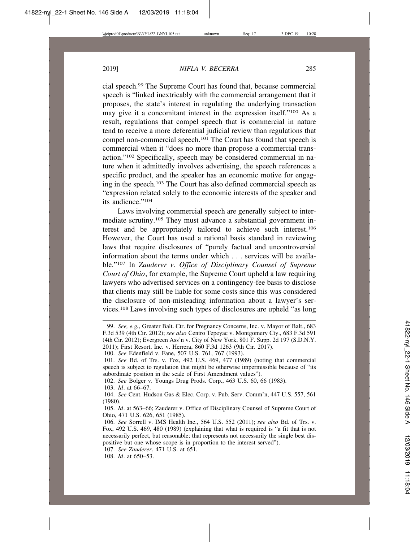cial speech.99 The Supreme Court has found that, because commercial speech is "linked inextricably with the commercial arrangement that it proposes, the state's interest in regulating the underlying transaction may give it a concomitant interest in the expression itself."100 As a result, regulations that compel speech that is commercial in nature tend to receive a more deferential judicial review than regulations that compel non-commercial speech.<sup>101</sup> The Court has found that speech is commercial when it "does no more than propose a commercial transaction."102 Specifically, speech may be considered commercial in nature when it admittedly involves advertising, the speech references a specific product, and the speaker has an economic motive for engaging in the speech.103 The Court has also defined commercial speech as "expression related solely to the economic interests of the speaker and its audience."104

Laws involving commercial speech are generally subject to intermediate scrutiny.105 They must advance a substantial government interest and be appropriately tailored to achieve such interest.106 However, the Court has used a rational basis standard in reviewing laws that require disclosures of "purely factual and uncontroversial information about the terms under which . . . services will be available."107 In *Zauderer v. Office of Disciplinary Counsel of Supreme Court of Ohio*, for example, the Supreme Court upheld a law requiring lawyers who advertised services on a contingency-fee basis to disclose that clients may still be liable for some costs since this was considered the disclosure of non-misleading information about a lawyer's services.108 Laws involving such types of disclosures are upheld "as long

102. *See* Bolger v. Youngs Drug Prods. Corp., 463 U.S. 60, 66 (1983).

103. *Id*. at 66–67.

107. *See Zauderer*, 471 U.S. at 651.

108. *Id*. at 650–53.

<sup>99.</sup> *See, e.g.*, Greater Balt. Ctr. for Pregnancy Concerns, Inc. v. Mayor of Balt., 683 F.3d 539 (4th Cir. 2012); *see also* Centro Tepeyac v. Montgomery Cty., 683 F.3d 591 (4th Cir. 2012); Evergreen Ass'n v. City of New York, 801 F. Supp. 2d 197 (S.D.N.Y. 2011); First Resort, Inc. v. Herrera, 860 F.3d 1263 (9th Cir. 2017).

<sup>100.</sup> *See* Edenfield v. Fane, 507 U.S. 761, 767 (1993).

<sup>101.</sup> *See* Bd. of Trs. v. Fox, 492 U.S. 469, 477 (1989) (noting that commercial speech is subject to regulation that might be otherwise impermissible because of "its subordinate position in the scale of First Amendment values").

<sup>104.</sup> *See* Cent. Hudson Gas & Elec. Corp. v. Pub. Serv. Comm'n, 447 U.S. 557, 561 (1980).

<sup>105.</sup> *Id*. at 563–66; Zauderer v. Office of Disciplinary Counsel of Supreme Court of Ohio, 471 U.S. 626, 651 (1985).

<sup>106.</sup> *See* Sorrell v. IMS Health Inc., 564 U.S. 552 (2011); *see also* Bd. of Trs. v. Fox, 492 U.S. 469, 480 (1989) (explaining that what is required is "a fit that is not necessarily perfect, but reasonable; that represents not necessarily the single best dispositive but one whose scope is in proportion to the interest served").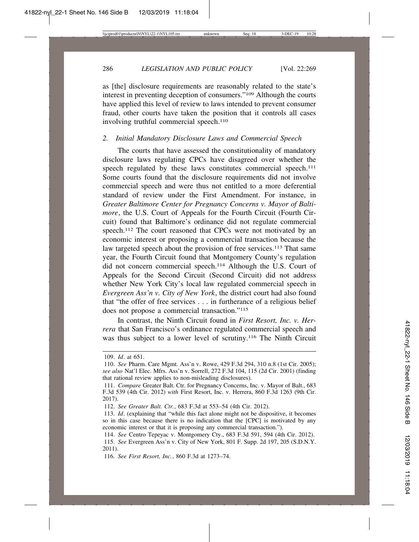as [the] disclosure requirements are reasonably related to the state's interest in preventing deception of consumers."109 Although the courts have applied this level of review to laws intended to prevent consumer fraud, other courts have taken the position that it controls all cases involving truthful commercial speech.<sup>110</sup>

#### *2. Initial Mandatory Disclosure Laws and Commercial Speech*

The courts that have assessed the constitutionality of mandatory disclosure laws regulating CPCs have disagreed over whether the speech regulated by these laws constitutes commercial speech.<sup>111</sup> Some courts found that the disclosure requirements did not involve commercial speech and were thus not entitled to a more deferential standard of review under the First Amendment. For instance, in *Greater Baltimore Center for Pregnancy Concerns v. Mayor of Baltimore*, the U.S. Court of Appeals for the Fourth Circuit (Fourth Circuit) found that Baltimore's ordinance did not regulate commercial speech.<sup>112</sup> The court reasoned that CPCs were not motivated by an economic interest or proposing a commercial transaction because the law targeted speech about the provision of free services.<sup>113</sup> That same year, the Fourth Circuit found that Montgomery County's regulation did not concern commercial speech.114 Although the U.S. Court of Appeals for the Second Circuit (Second Circuit) did not address whether New York City's local law regulated commercial speech in *Evergreen Ass'n v. City of New York*, the district court had also found that "the offer of free services . . . in furtherance of a religious belief does not propose a commercial transaction."115

In contrast, the Ninth Circuit found in *First Resort, Inc. v. Herrera* that San Francisco's ordinance regulated commercial speech and was thus subject to a lower level of scrutiny.<sup>116</sup> The Ninth Circuit

<sup>109.</sup> *Id*. at 651.

<sup>110.</sup> *See* Pharm. Care Mgmt. Ass'n v. Rowe, 429 F.3d 294, 310 n.8 (1st Cir. 2005); *see also* Nat'l Elec. Mfrs. Ass'n v. Sorrell, 272 F.3d 104, 115 (2d Cir. 2001) (finding that rational review applies to non-misleading disclosures).

<sup>111.</sup> *Compare* Greater Balt. Ctr. for Pregnancy Concerns, Inc. v. Mayor of Balt., 683 F.3d 539 (4th Cir. 2012) *with* First Resort, Inc. v. Herrera, 860 F.3d 1263 (9th Cir. 2017).

<sup>112.</sup> *See Greater Balt. Ctr.*, 683 F.3d at 553–54 (4th Cir. 2012).

<sup>113.</sup> *Id*. (explaining that "while this fact alone might not be dispositive, it becomes so in this case because there is no indication that the [CPC] is motivated by any economic interest or that it is proposing any commercial transaction.").

<sup>114.</sup> *See* Centro Tepeyac v. Montgomery Cty., 683 F.3d 591, 594 (4th Cir. 2012). 115. *See* Evergreen Ass'n v. City of New York, 801 F. Supp. 2d 197, 205 (S.D.N.Y. 2011).

<sup>116.</sup> *See First Resort, Inc.*, 860 F.3d at 1273–74.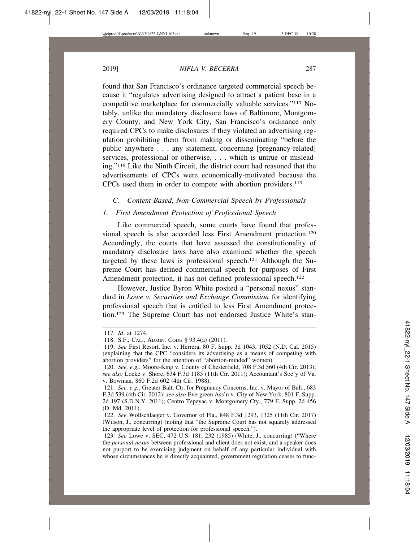found that San Francisco's ordinance targeted commercial speech because it "regulates advertising designed to attract a patient base in a competitive marketplace for commercially valuable services."117 Notably, unlike the mandatory disclosure laws of Baltimore, Montgomery County, and New York City, San Francisco's ordinance only required CPCs to make disclosures if they violated an advertising regulation prohibiting them from making or disseminating "before the public anywhere . . . any statement, concerning [pregnancy-related] services, professional or otherwise, . . . which is untrue or misleading."118 Like the Ninth Circuit, the district court had reasoned that the advertisements of CPCs were economically-motivated because the CPCs used them in order to compete with abortion providers.119

#### *C. Content-Based, Non-Commercial Speech by Professionals*

#### *1. First Amendment Protection of Professional Speech*

Like commercial speech, some courts have found that professional speech is also accorded less First Amendment protection.<sup>120</sup> Accordingly, the courts that have assessed the constitutionality of mandatory disclosure laws have also examined whether the speech targeted by these laws is professional speech.121 Although the Supreme Court has defined commercial speech for purposes of First Amendment protection, it has not defined professional speech.<sup>122</sup>

However, Justice Byron White posited a "personal nexus" standard in *Lowe v. Securities and Exchange Commission* for identifying professional speech that is entitled to less First Amendment protection.123 The Supreme Court has not endorsed Justice White's stan-

<sup>117.</sup> *Id*. at 1274.

<sup>118.</sup> S.F., CAL., ADMIN. CODE § 93.4(a) (2011).

<sup>119.</sup> *See* First Resort, Inc. v. Herrera, 80 F. Supp. 3d 1043, 1052 (N.D. Cal. 2015) (explaining that the CPC "considers its advertising as a means of competing with abortion providers" for the attention of "abortion-minded" women).

<sup>120.</sup> *See, e.g.*, Moore-King v. County of Chesterfield, 708 F.3d 560 (4th Cir. 2013); *see also* Locke v. Shore, 634 F.3d 1185 (11th Cir. 2011); Accountant's Soc'y of Va. v. Bowman, 860 F.2d 602 (4th Cir. 1988).

<sup>121.</sup> *See, e.g.*, Greater Balt. Ctr. for Pregnancy Concerns, Inc. v. Mayor of Balt., 683 F.3d 539 (4th Cir. 2012); *see also* Evergreen Ass'n v. City of New York, 801 F. Supp. 2d 197 (S.D.N.Y. 2011); Centro Tepeyac v. Montgomery Cty., 779 F. Supp. 2d 456 (D. Md. 2011).

<sup>122.</sup> *See* Wollschlaeger v. Governor of Fla., 848 F.3d 1293, 1325 (11th Cir. 2017) (Wilson, J., concurring) (noting that "the Supreme Court has not squarely addressed the appropriate level of protection for professional speech.").

<sup>123.</sup> *See* Lowe v. SEC, 472 U.S. 181, 232 (1985) (White, J., concurring) ("Where the *personal nexus* between professional and client does not exist, and a speaker does not purport to be exercising judgment on behalf of any particular individual with whose circumstances he is directly acquainted, government regulation ceases to func-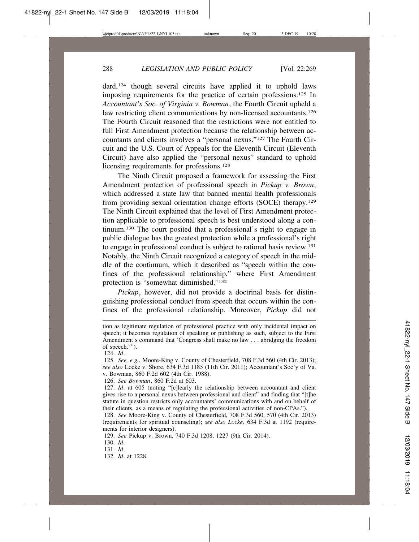dard,<sup>124</sup> though several circuits have applied it to uphold laws imposing requirements for the practice of certain professions.125 In *Accountant's Soc. of Virginia v. Bowman*, the Fourth Circuit upheld a law restricting client communications by non-licensed accountants.<sup>126</sup> The Fourth Circuit reasoned that the restrictions were not entitled to full First Amendment protection because the relationship between accountants and clients involves a "personal nexus."127 The Fourth Circuit and the U.S. Court of Appeals for the Eleventh Circuit (Eleventh Circuit) have also applied the "personal nexus" standard to uphold licensing requirements for professions.<sup>128</sup>

The Ninth Circuit proposed a framework for assessing the First Amendment protection of professional speech in *Pickup v. Brown*, which addressed a state law that banned mental health professionals from providing sexual orientation change efforts (SOCE) therapy.129 The Ninth Circuit explained that the level of First Amendment protection applicable to professional speech is best understood along a continuum.130 The court posited that a professional's right to engage in public dialogue has the greatest protection while a professional's right to engage in professional conduct is subject to rational basis review.131 Notably, the Ninth Circuit recognized a category of speech in the middle of the continuum, which it described as "speech within the confines of the professional relationship," where First Amendment protection is "somewhat diminished."132

*Pickup*, however, did not provide a doctrinal basis for distinguishing professional conduct from speech that occurs within the confines of the professional relationship. Moreover, *Pickup* did not

126. *See Bowman*, 860 F.2d at 603.

tion as legitimate regulation of professional practice with only incidental impact on speech; it becomes regulation of speaking or publishing as such, subject to the First Amendment's command that 'Congress shall make no law . . . abridging the freedom of speech.'").

<sup>124.</sup> *Id*.

<sup>125.</sup> *See, e.g.*, Moore-King v. County of Chesterfield, 708 F.3d 560 (4th Cir. 2013); *see also* Locke v. Shore, 634 F.3d 1185 (11th Cir. 2011); Accountant's Soc'y of Va. v. Bowman, 860 F.2d 602 (4th Cir. 1988).

<sup>127.</sup> *Id*. at 605 (noting "[c]learly the relationship between accountant and client gives rise to a personal nexus between professional and client" and finding that "[t]he statute in question restricts only accountants' communications with and on behalf of their clients, as a means of regulating the professional activities of non-CPAs.").

<sup>128.</sup> *See* Moore-King v. County of Chesterfield, 708 F.3d 560, 570 (4th Cir. 2013) (requirements for spiritual counseling); *see also Locke*, 634 F.3d at 1192 (requirements for interior designers).

<sup>129.</sup> *See* Pickup v. Brown, 740 F.3d 1208, 1227 (9th Cir. 2014).

<sup>130.</sup> *Id*.

<sup>131.</sup> *Id*.

<sup>132.</sup> *Id*. at 1228.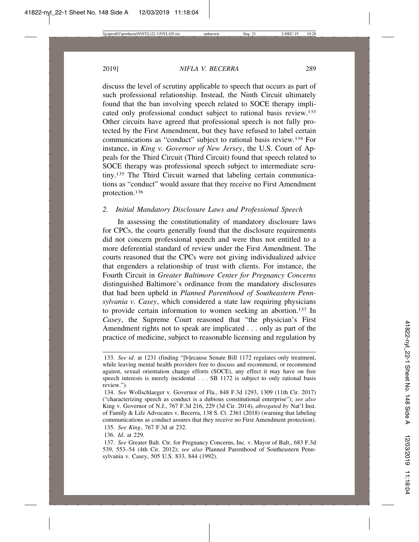discuss the level of scrutiny applicable to speech that occurs as part of such professional relationship. Instead, the Ninth Circuit ultimately found that the ban involving speech related to SOCE therapy implicated only professional conduct subject to rational basis review.133 Other circuits have agreed that professional speech is not fully protected by the First Amendment, but they have refused to label certain communications as "conduct" subject to rational basis review.134 For instance, in *King v. Governor of New Jersey*, the U.S. Court of Appeals for the Third Circuit (Third Circuit) found that speech related to SOCE therapy was professional speech subject to intermediate scrutiny.135 The Third Circuit warned that labeling certain communications as "conduct" would assure that they receive no First Amendment protection.136

#### *2. Initial Mandatory Disclosure Laws and Professional Speech*

In assessing the constitutionality of mandatory disclosure laws for CPCs, the courts generally found that the disclosure requirements did not concern professional speech and were thus not entitled to a more deferential standard of review under the First Amendment. The courts reasoned that the CPCs were not giving individualized advice that engenders a relationship of trust with clients. For instance, the Fourth Circuit in *Greater Baltimore Center for Pregnancy Concerns* distinguished Baltimore's ordinance from the mandatory disclosures that had been upheld in *Planned Parenthood of Southeastern Pennsylvania v. Casey*, which considered a state law requiring physicians to provide certain information to women seeking an abortion.<sup>137</sup> In *Casey*, the Supreme Court reasoned that "the physician's First Amendment rights not to speak are implicated . . . only as part of the practice of medicine, subject to reasonable licensing and regulation by

<sup>133.</sup> *See id*. at 1231 (finding "[b]ecause Senate Bill 1172 regulates only treatment, while leaving mental health providers free to discuss and recommend, or recommend against, sexual orientation change efforts (SOCE), any effect it may have on free speech interests is merely incidental . . . SB 1172 is subject to only rational basis review.").

<sup>134.</sup> *See* Wollschlaeger v. Governor of Fla., 848 F.3d 1293, 1309 (11th Cir. 2017) ("characterizing speech as conduct is a dubious constitutional enterprise"); *see also* King v. Governor of N.J., 767 F.3d 216, 229 (3d Cir. 2014), *abrogated by* Nat'l Inst. of Family & Life Advocates v. Becerra, 138 S. Ct. 2361 (2018) (warning that labeling communications as conduct assures that they receive no First Amendment protection).

<sup>135.</sup> *See King*, 767 F.3d at 232.

<sup>136.</sup> *Id*. at 229.

<sup>137.</sup> *See* Greater Balt. Ctr. for Pregnancy Concerns, Inc. v. Mayor of Balt., 683 F.3d 539, 553–54 (4th Cir. 2012); *see also* Planned Parenthood of Southeastern Pennsylvania v. Casey, 505 U.S. 833, 844 (1992).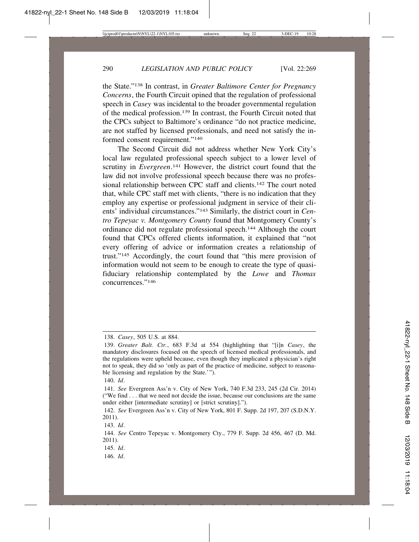the State."138 In contrast, in *Greater Baltimore Center for Pregnancy Concerns*, the Fourth Circuit opined that the regulation of professional speech in *Casey* was incidental to the broader governmental regulation of the medical profession.139 In contrast, the Fourth Circuit noted that the CPCs subject to Baltimore's ordinance "do not practice medicine, are not staffed by licensed professionals, and need not satisfy the informed consent requirement."140

The Second Circuit did not address whether New York City's local law regulated professional speech subject to a lower level of scrutiny in *Evergreen*.<sup>141</sup> However, the district court found that the law did not involve professional speech because there was no professional relationship between CPC staff and clients.142 The court noted that, while CPC staff met with clients, "there is no indication that they employ any expertise or professional judgment in service of their clients' individual circumstances."143 Similarly, the district court in *Centro Tepeyac v. Montgomery County* found that Montgomery County's ordinance did not regulate professional speech.144 Although the court found that CPCs offered clients information, it explained that "not every offering of advice or information creates a relationship of trust."145 Accordingly, the court found that "this mere provision of information would not seem to be enough to create the type of quasifiduciary relationship contemplated by the *Lowe* and *Thomas* concurrences."146

<sup>138.</sup> *Casey*, 505 U.S. at 884.

<sup>139.</sup> *Greater Balt. Ctr.*, 683 F.3d at 554 (highlighting that "[i]n *Casey*, the mandatory disclosures focused on the speech of licensed medical professionals, and the regulations were upheld because, even though they implicated a physician's right not to speak, they did so 'only as part of the practice of medicine, subject to reasonable licensing and regulation by the State.'").

<sup>140.</sup> *Id*.

<sup>141.</sup> *See* Evergreen Ass'n v. City of New York, 740 F.3d 233, 245 (2d Cir. 2014) ("We find . . . that we need not decide the issue, because our conclusions are the same under either [intermediate scrutiny] or [strict scrutiny].").

<sup>142.</sup> *See* Evergreen Ass'n v. City of New York, 801 F. Supp. 2d 197, 207 (S.D.N.Y. 2011).

<sup>143.</sup> *Id*.

<sup>144.</sup> *See* Centro Tepeyac v. Montgomery Cty., 779 F. Supp. 2d 456, 467 (D. Md. 2011).

<sup>145.</sup> *Id*.

<sup>146.</sup> *Id*.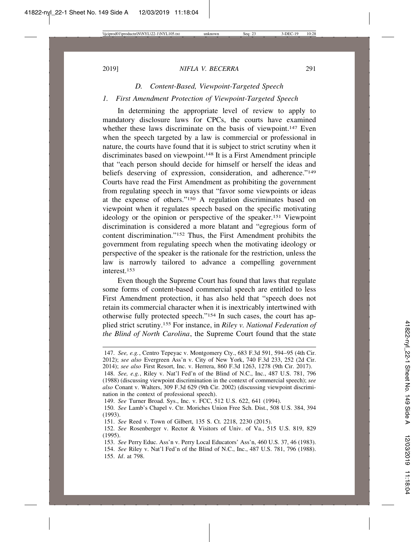## *D. Content-Based, Viewpoint-Targeted Speech*

## *1. First Amendment Protection of Viewpoint-Targeted Speech*

In determining the appropriate level of review to apply to mandatory disclosure laws for CPCs, the courts have examined whether these laws discriminate on the basis of viewpoint.<sup>147</sup> Even when the speech targeted by a law is commercial or professional in nature, the courts have found that it is subject to strict scrutiny when it discriminates based on viewpoint.148 It is a First Amendment principle that "each person should decide for himself or herself the ideas and beliefs deserving of expression, consideration, and adherence."149 Courts have read the First Amendment as prohibiting the government from regulating speech in ways that "favor some viewpoints or ideas at the expense of others."150 A regulation discriminates based on viewpoint when it regulates speech based on the specific motivating ideology or the opinion or perspective of the speaker.151 Viewpoint discrimination is considered a more blatant and "egregious form of content discrimination."152 Thus, the First Amendment prohibits the government from regulating speech when the motivating ideology or perspective of the speaker is the rationale for the restriction, unless the law is narrowly tailored to advance a compelling government interest.153

Even though the Supreme Court has found that laws that regulate some forms of content-based commercial speech are entitled to less First Amendment protection, it has also held that "speech does not retain its commercial character when it is inextricably intertwined with otherwise fully protected speech."154 In such cases, the court has applied strict scrutiny.155 For instance, in *Riley v. National Federation of the Blind of North Carolina*, the Supreme Court found that the state

<sup>147.</sup> *See, e.g.*, Centro Tepeyac v. Montgomery Cty., 683 F.3d 591, 594–95 (4th Cir. 2012); *see also* Evergreen Ass'n v. City of New York, 740 F.3d 233, 252 (2d Cir. 2014); *see also* First Resort, Inc. v. Herrera, 860 F.3d 1263, 1278 (9th Cir. 2017).

<sup>148.</sup> *See, e.g.*, Riley v. Nat'l Fed'n of the Blind of N.C., Inc., 487 U.S. 781, 796 (1988) (discussing viewpoint discrimination in the context of commercial speech); *see also* Conant v. Walters, 309 F.3d 629 (9th Cir. 2002) (discussing viewpoint discrimination in the context of professional speech).

<sup>149.</sup> *See* Turner Broad. Sys., Inc. v. FCC, 512 U.S. 622, 641 (1994).

<sup>150.</sup> *See* Lamb's Chapel v. Ctr. Moriches Union Free Sch. Dist., 508 U.S. 384, 394 (1993).

<sup>151.</sup> *See* Reed v. Town of Gilbert, 135 S. Ct. 2218, 2230 (2015).

<sup>152.</sup> *See* Rosenberger v. Rector & Visitors of Univ. of Va., 515 U.S. 819, 829 (1995).

<sup>153.</sup> *See* Perry Educ. Ass'n v. Perry Local Educators' Ass'n, 460 U.S. 37, 46 (1983). 154. *See* Riley v. Nat'l Fed'n of the Blind of N.C., Inc., 487 U.S. 781, 796 (1988). 155. *Id*. at 798.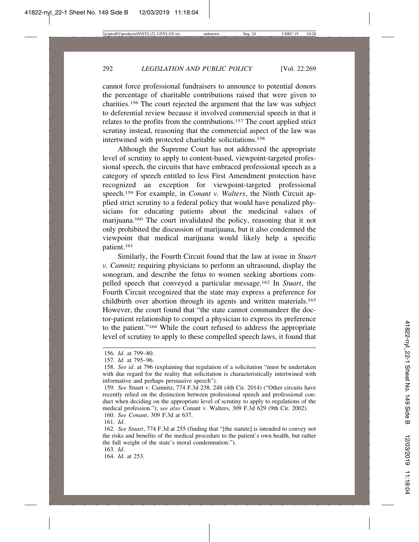cannot force professional fundraisers to announce to potential donors the percentage of charitable contributions raised that were given to charities.156 The court rejected the argument that the law was subject to deferential review because it involved commercial speech in that it relates to the profits from the contributions.157 The court applied strict scrutiny instead, reasoning that the commercial aspect of the law was intertwined with protected charitable solicitations.158

Although the Supreme Court has not addressed the appropriate level of scrutiny to apply to content-based, viewpoint-targeted professional speech, the circuits that have embraced professional speech as a category of speech entitled to less First Amendment protection have recognized an exception for viewpoint-targeted professional speech.159 For example, in *Conant v. Walters*, the Ninth Circuit applied strict scrutiny to a federal policy that would have penalized physicians for educating patients about the medicinal values of marijuana.160 The court invalidated the policy, reasoning that it not only prohibited the discussion of marijuana, but it also condemned the viewpoint that medical marijuana would likely help a specific patient.161

Similarly, the Fourth Circuit found that the law at issue in *Stuart v. Camnitz* requiring physicians to perform an ultrasound, display the sonogram, and describe the fetus to women seeking abortions compelled speech that conveyed a particular message.162 In *Stuart*, the Fourth Circuit recognized that the state may express a preference for childbirth over abortion through its agents and written materials.163 However, the court found that "the state cannot commandeer the doctor-patient relationship to compel a physician to express its preference to the patient."164 While the court refused to address the appropriate level of scrutiny to apply to these compelled speech laws, it found that

160. *See Conant*, 309 F.3d at 637.

161. *Id*.

163. *Id*.

164. *Id*. at 253.

<sup>156.</sup> *Id*. at 799–80.

<sup>157.</sup> *Id*. at 795–96.

<sup>158.</sup> *See id*. at 796 (explaining that regulation of a solicitation "must be undertaken with due regard for the reality that solicitation is characteristically intertwined with informative and perhaps persuasive speech").

<sup>159.</sup> *See* Stuart v. Camnitz, 774 F.3d 238, 248 (4th Cir. 2014) ("Other circuits have recently relied on the distinction between professional speech and professional conduct when deciding on the appropriate level of scrutiny to apply to regulations of the medical profession."); *see also* Conant v. Walters, 309 F.3d 629 (9th Cir. 2002).

<sup>162.</sup> *See Stuart*, 774 F.3d at 255 (finding that "[the statute] is intended to convey not the risks and benefits of the medical procedure to the patient's own health, but rather the full weight of the state's moral condemnation.").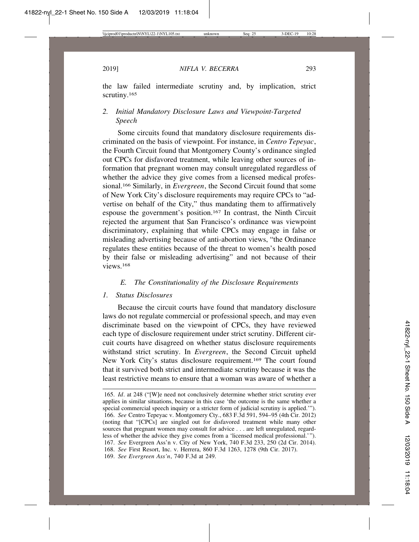the law failed intermediate scrutiny and, by implication, strict scrutiny.<sup>165</sup>

# *2. Initial Mandatory Disclosure Laws and Viewpoint-Targeted Speech*

Some circuits found that mandatory disclosure requirements discriminated on the basis of viewpoint. For instance, in *Centro Tepeyac*, the Fourth Circuit found that Montgomery County's ordinance singled out CPCs for disfavored treatment, while leaving other sources of information that pregnant women may consult unregulated regardless of whether the advice they give comes from a licensed medical professional.166 Similarly, in *Evergreen*, the Second Circuit found that some of New York City's disclosure requirements may require CPCs to "advertise on behalf of the City," thus mandating them to affirmatively espouse the government's position.167 In contrast, the Ninth Circuit rejected the argument that San Francisco's ordinance was viewpoint discriminatory, explaining that while CPCs may engage in false or misleading advertising because of anti-abortion views, "the Ordinance regulates these entities because of the threat to women's health posed by their false or misleading advertising" and not because of their views<sup>168</sup>

## *E. The Constitutionality of the Disclosure Requirements*

#### *1. Status Disclosures*

Because the circuit courts have found that mandatory disclosure laws do not regulate commercial or professional speech, and may even discriminate based on the viewpoint of CPCs, they have reviewed each type of disclosure requirement under strict scrutiny. Different circuit courts have disagreed on whether status disclosure requirements withstand strict scrutiny. In *Evergreen*, the Second Circuit upheld New York City's status disclosure requirement.169 The court found that it survived both strict and intermediate scrutiny because it was the least restrictive means to ensure that a woman was aware of whether a

<sup>165.</sup> *Id*. at 248 ("[W]e need not conclusively determine whether strict scrutiny ever applies in similar situations, because in this case 'the outcome is the same whether a special commercial speech inquiry or a stricter form of judicial scrutiny is applied.'"). 166. *See* Centro Tepeyac v. Montgomery Cty., 683 F.3d 591, 594–95 (4th Cir. 2012) (noting that "[CPCs] are singled out for disfavored treatment while many other sources that pregnant women may consult for advice . . . are left unregulated, regardless of whether the advice they give comes from a 'licensed medical professional.'"). 167. *See* Evergreen Ass'n v. City of New York, 740 F.3d 233, 250 (2d Cir. 2014). 168. *See* First Resort, Inc. v. Herrera, 860 F.3d 1263, 1278 (9th Cir. 2017). 169. *See Evergreen Ass'n*, 740 F.3d at 249.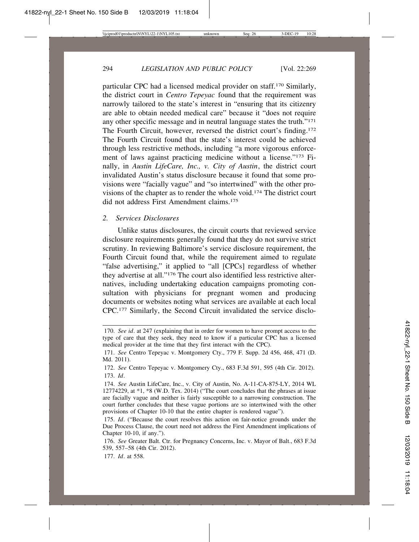particular CPC had a licensed medical provider on staff.170 Similarly, the district court in *Centro Tepeyac* found that the requirement was narrowly tailored to the state's interest in "ensuring that its citizenry are able to obtain needed medical care" because it "does not require any other specific message and in neutral language states the truth."171 The Fourth Circuit, however, reversed the district court's finding.172 The Fourth Circuit found that the state's interest could be achieved through less restrictive methods, including "a more vigorous enforcement of laws against practicing medicine without a license."173 Finally, in *Austin LifeCare, Inc., v. City of Austin*, the district court invalidated Austin's status disclosure because it found that some provisions were "facially vague" and "so intertwined" with the other provisions of the chapter as to render the whole void.174 The district court did not address First Amendment claims.175

## *2. Services Disclosures*

Unlike status disclosures, the circuit courts that reviewed service disclosure requirements generally found that they do not survive strict scrutiny. In reviewing Baltimore's service disclosure requirement, the Fourth Circuit found that, while the requirement aimed to regulate "false advertising," it applied to "all [CPCs] regardless of whether they advertise at all."176 The court also identified less restrictive alternatives, including undertaking education campaigns promoting consultation with physicians for pregnant women and producing documents or websites noting what services are available at each local CPC.177 Similarly, the Second Circuit invalidated the service disclo-

177. *Id*. at 558.

<sup>170.</sup> *See id*. at 247 (explaining that in order for women to have prompt access to the type of care that they seek, they need to know if a particular CPC has a licensed medical provider at the time that they first interact with the CPC).

<sup>171.</sup> *See* Centro Tepeyac v. Montgomery Cty., 779 F. Supp. 2d 456, 468, 471 (D. Md. 2011).

<sup>172.</sup> *See* Centro Tepeyac v. Montgomery Cty., 683 F.3d 591, 595 (4th Cir. 2012). 173. *Id*.

<sup>174.</sup> *See* Austin LifeCare, Inc., v. City of Austin, No. A-11-CA-875-LY, 2014 WL 12774229, at \*1, \*8 (W.D. Tex. 2014) ("The court concludes that the phrases at issue are facially vague and neither is fairly susceptible to a narrowing construction. The court further concludes that these vague portions are so intertwined with the other provisions of Chapter 10-10 that the entire chapter is rendered vague").

<sup>175.</sup> *Id*. ("Because the court resolves this action on fair-notice grounds under the Due Process Clause, the court need not address the First Amendment implications of Chapter 10-10, if any.").

<sup>176.</sup> *See* Greater Balt. Ctr. for Pregnancy Concerns, Inc. v. Mayor of Balt., 683 F.3d 539, 557–58 (4th Cir. 2012).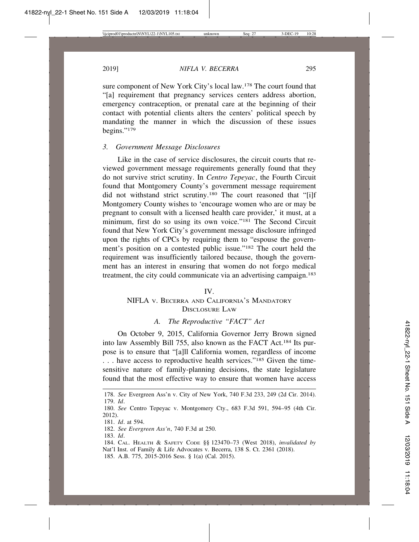sure component of New York City's local law.178 The court found that "[a] requirement that pregnancy services centers address abortion, emergency contraception, or prenatal care at the beginning of their contact with potential clients alters the centers' political speech by mandating the manner in which the discussion of these issues begins."179

#### *3. Government Message Disclosures*

Like in the case of service disclosures, the circuit courts that reviewed government message requirements generally found that they do not survive strict scrutiny. In *Centro Tepeyac*, the Fourth Circuit found that Montgomery County's government message requirement did not withstand strict scrutiny.180 The court reasoned that "[i]f Montgomery County wishes to 'encourage women who are or may be pregnant to consult with a licensed health care provider,' it must, at a minimum, first do so using its own voice."181 The Second Circuit found that New York City's government message disclosure infringed upon the rights of CPCs by requiring them to "espouse the government's position on a contested public issue."182 The court held the requirement was insufficiently tailored because, though the government has an interest in ensuring that women do not forgo medical treatment, the city could communicate via an advertising campaign.183

# IV. NIFLA V. BECERRA AND CALIFORNIA'S MANDATORY DISCLOSURE LAW

## *A. The Reproductive "FACT" Act*

On October 9, 2015, California Governor Jerry Brown signed into law Assembly Bill 755, also known as the FACT Act.184 Its purpose is to ensure that "[a]ll California women, regardless of income . . . have access to reproductive health services."185 Given the timesensitive nature of family-planning decisions, the state legislature found that the most effective way to ensure that women have access

<sup>178.</sup> *See* Evergreen Ass'n v. City of New York, 740 F.3d 233, 249 (2d Cir. 2014). 179. *Id*.

<sup>180.</sup> *See* Centro Tepeyac v. Montgomery Cty., 683 F.3d 591, 594–95 (4th Cir. 2012).

<sup>181.</sup> *Id*. at 594.

<sup>182.</sup> *See Evergreen Ass'n*, 740 F.3d at 250.

<sup>183.</sup> *Id*.

<sup>184.</sup> CAL. HEALTH & SAFETY CODE §§ 123470–73 (West 2018), *invalidated by* Nat'l Inst. of Family & Life Advocates v. Becerra, 138 S. Ct. 2361 (2018).

<sup>185.</sup> A.B. 775, 2015-2016 Sess. § 1(a) (Cal. 2015).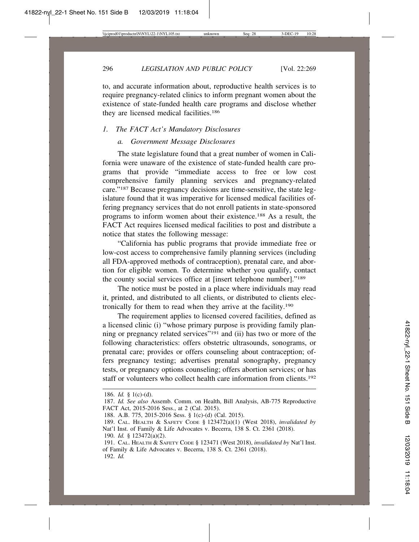296 *LEGISLATION AND PUBLIC POLICY* [Vol. 22:269

to, and accurate information about, reproductive health services is to require pregnancy-related clinics to inform pregnant women about the existence of state-funded health care programs and disclose whether they are licensed medical facilities.186

#### *1. The FACT Act's Mandatory Disclosures*

# *a. Government Message Disclosures*

The state legislature found that a great number of women in California were unaware of the existence of state-funded health care programs that provide "immediate access to free or low cost comprehensive family planning services and pregnancy-related care."187 Because pregnancy decisions are time-sensitive, the state legislature found that it was imperative for licensed medical facilities offering pregnancy services that do not enroll patients in state-sponsored programs to inform women about their existence.188 As a result, the FACT Act requires licensed medical facilities to post and distribute a notice that states the following message:

"California has public programs that provide immediate free or low-cost access to comprehensive family planning services (including all FDA-approved methods of contraception), prenatal care, and abortion for eligible women. To determine whether you qualify, contact the county social services office at [insert telephone number]."189

The notice must be posted in a place where individuals may read it, printed, and distributed to all clients, or distributed to clients electronically for them to read when they arrive at the facility.190

The requirement applies to licensed covered facilities, defined as a licensed clinic (i) "whose primary purpose is providing family planning or pregnancy related services"191 and (ii) has two or more of the following characteristics: offers obstetric ultrasounds, sonograms, or prenatal care; provides or offers counseling about contraception; offers pregnancy testing; advertises prenatal sonography, pregnancy tests, or pregnancy options counseling; offers abortion services; or has staff or volunteers who collect health care information from clients.<sup>192</sup>

<sup>186.</sup> *Id.* § 1(c)-(d).

<sup>187.</sup> *Id. See also* Assemb. Comm. on Health, Bill Analysis, AB-775 Reproductive FACT Act, 2015-2016 Sess., at 2 (Cal. 2015).

<sup>188.</sup> A.B. 775, 2015-2016 Sess. § 1(c)-(d) (Cal. 2015).

<sup>189.</sup> CAL. HEALTH & SAFETY CODE § 123472(a)(1) (West 2018), *invalidated by* Nat'l Inst. of Family & Life Advocates v. Becerra, 138 S. Ct. 2361 (2018).

<sup>190.</sup> *Id.* § 123472(a)(2).

<sup>191.</sup> CAL. HEALTH & SAFETY CODE § 123471 (West 2018), *invalidated by* Nat'l Inst. of Family & Life Advocates v. Becerra, 138 S. Ct. 2361 (2018).

<sup>192.</sup> *Id.*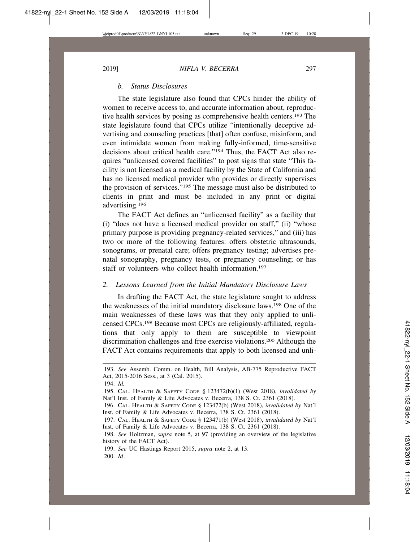## *b. Status Disclosures*

The state legislature also found that CPCs hinder the ability of women to receive access to, and accurate information about, reproductive health services by posing as comprehensive health centers.193 The state legislature found that CPCs utilize "intentionally deceptive advertising and counseling practices [that] often confuse, misinform, and even intimidate women from making fully-informed, time-sensitive decisions about critical health care."194 Thus, the FACT Act also requires "unlicensed covered facilities" to post signs that state "This facility is not licensed as a medical facility by the State of California and has no licensed medical provider who provides or directly supervises the provision of services."195 The message must also be distributed to clients in print and must be included in any print or digital advertising.196

The FACT Act defines an "unlicensed facility" as a facility that (i) "does not have a licensed medical provider on staff," (ii) "whose primary purpose is providing pregnancy-related services," and (iii) has two or more of the following features: offers obstetric ultrasounds, sonograms, or prenatal care; offers pregnancy testing; advertises prenatal sonography, pregnancy tests, or pregnancy counseling; or has staff or volunteers who collect health information.<sup>197</sup>

#### *2. Lessons Learned from the Initial Mandatory Disclosure Laws*

In drafting the FACT Act, the state legislature sought to address the weaknesses of the initial mandatory disclosure laws.198 One of the main weaknesses of these laws was that they only applied to unlicensed CPCs.199 Because most CPCs are religiously-affiliated, regulations that only apply to them are susceptible to viewpoint discrimination challenges and free exercise violations.200 Although the FACT Act contains requirements that apply to both licensed and unli-

<sup>193.</sup> *See* Assemb. Comm. on Health, Bill Analysis, AB-775 Reproductive FACT Act, 2015-2016 Sess., at 3 (Cal. 2015).

<sup>194.</sup> *Id.*

<sup>195.</sup> CAL. HEALTH & SAFETY CODE § 123472(b)(1) (West 2018), *invalidated by* Nat'l Inst. of Family & Life Advocates v. Becerra, 138 S. Ct. 2361 (2018).

<sup>196.</sup> CAL. HEALTH & SAFETY CODE § 123472(b) (West 2018), *invalidated by* Nat'l Inst. of Family & Life Advocates v. Becerra, 138 S. Ct. 2361 (2018).

<sup>197.</sup> CAL. HEALTH & SAFETY CODE § 123471(b) (West 2018), *invalidated by* Nat'l Inst. of Family & Life Advocates v. Becerra, 138 S. Ct. 2361 (2018).

<sup>198.</sup> *See* Holtzman, *supra* note 5, at 97 (providing an overview of the legislative history of the FACT Act).

<sup>199.</sup> *See* UC Hastings Report 2015, *supra* note 2, at 13. 200. *Id*.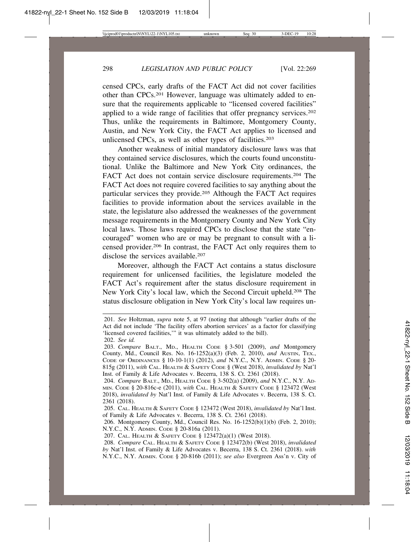censed CPCs, early drafts of the FACT Act did not cover facilities other than CPCs.201 However, language was ultimately added to ensure that the requirements applicable to "licensed covered facilities" applied to a wide range of facilities that offer pregnancy services.202 Thus, unlike the requirements in Baltimore, Montgomery County, Austin, and New York City, the FACT Act applies to licensed and unlicensed CPCs, as well as other types of facilities.203

Another weakness of initial mandatory disclosure laws was that they contained service disclosures, which the courts found unconstitutional. Unlike the Baltimore and New York City ordinances, the FACT Act does not contain service disclosure requirements.204 The FACT Act does not require covered facilities to say anything about the particular services they provide.205 Although the FACT Act requires facilities to provide information about the services available in the state, the legislature also addressed the weaknesses of the government message requirements in the Montgomery County and New York City local laws. Those laws required CPCs to disclose that the state "encouraged" women who are or may be pregnant to consult with a licensed provider.206 In contrast, the FACT Act only requires them to disclose the services available.<sup>207</sup>

Moreover, although the FACT Act contains a status disclosure requirement for unlicensed facilities, the legislature modeled the FACT Act's requirement after the status disclosure requirement in New York City's local law, which the Second Circuit upheld.208 The status disclosure obligation in New York City's local law requires un-

<sup>201.</sup> *See* Holtzman, *supra* note 5, at 97 (noting that although "earlier drafts of the Act did not include 'The facility offers abortion services' as a factor for classifying 'licensed covered facilities,'" it was ultimately added to the bill). 202. *See id.*

<sup>203.</sup> *Compare* BALT., MD., HEALTH CODE § 3-501 (2009), *and* Montgomery County, Md., Council Res. No. 16-1252(a)(3) (Feb. 2, 2010), *and* AUSTIN, TEX., CODE OF ORDINANCES § 10-10-1(1) (2012), *and* N.Y.C., N.Y. ADMIN. CODE § 20- 815g (2011), *with* CAL. HEALTH & SAFETY CODE § (West 2018), *invalidated by* Nat'l Inst. of Family & Life Advocates v. Becerra, 138 S. Ct. 2361 (2018).

<sup>204.</sup> *Compare* BALT., MD., HEALTH CODE § 3-502(a) (2009), *and* N.Y.C., N.Y. AD-MIN. CODE § 20-816c-e (2011), *with* CAL. HEALTH & SAFETY CODE § 123472 (West 2018), *invalidated by* Nat'l Inst. of Family & Life Advocates v. Becerra, 138 S. Ct. 2361 (2018).

<sup>205.</sup> CAL. HEALTH & SAFETY CODE § 123472 (West 2018), *invalidated by* Nat'l Inst. of Family & Life Advocates v. Becerra, 138 S. Ct. 2361 (2018).

<sup>206.</sup> Montgomery County, Md., Council Res. No. 16-1252(b)(1)(b) (Feb. 2, 2010); N.Y.C., N.Y. ADMIN. CODE § 20-816a (2011).

<sup>207.</sup> CAL. HEALTH & SAFETY CODE § 123472(a)(1) (West 2018).

<sup>208.</sup> *Compare* CAL. HEALTH & SAFETY CODE § 123472(b) (West 2018), *invalidated by* Nat'l Inst. of Family & Life Advocates v. Becerra, 138 S. Ct. 2361 (2018). *with* N.Y.C., N.Y. ADMIN. CODE § 20-816b (2011); *see also* Evergreen Ass'n v. City of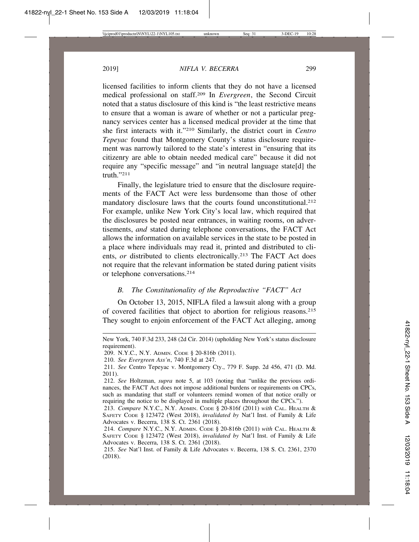licensed facilities to inform clients that they do not have a licensed medical professional on staff.209 In *Evergreen*, the Second Circuit noted that a status disclosure of this kind is "the least restrictive means to ensure that a woman is aware of whether or not a particular pregnancy services center has a licensed medical provider at the time that she first interacts with it."210 Similarly, the district court in *Centro Tepeyac* found that Montgomery County's status disclosure requirement was narrowly tailored to the state's interest in "ensuring that its citizenry are able to obtain needed medical care" because it did not require any "specific message" and "in neutral language state[d] the truth."211

Finally, the legislature tried to ensure that the disclosure requirements of the FACT Act were less burdensome than those of other mandatory disclosure laws that the courts found unconstitutional.<sup>212</sup> For example, unlike New York City's local law, which required that the disclosures be posted near entrances, in waiting rooms, on advertisements, *and* stated during telephone conversations, the FACT Act allows the information on available services in the state to be posted in a place where individuals may read it, printed and distributed to clients, *or* distributed to clients electronically.<sup>213</sup> The FACT Act does not require that the relevant information be stated during patient visits or telephone conversations.214

#### *B. The Constitutionality of the Reproductive "FACT" Act*

On October 13, 2015, NIFLA filed a lawsuit along with a group of covered facilities that object to abortion for religious reasons.215 They sought to enjoin enforcement of the FACT Act alleging, among

New York, 740 F.3d 233, 248 (2d Cir. 2014) (upholding New York's status disclosure requirement).

<sup>209.</sup> N.Y.C., N.Y. ADMIN. CODE § 20-816b (2011).

<sup>210.</sup> *See Evergreen Ass'n*, 740 F.3d at 247.

<sup>211.</sup> *See* Centro Tepeyac v. Montgomery Cty., 779 F. Supp. 2d 456, 471 (D. Md. 2011).

<sup>212.</sup> *See* Holtzman, *supra* note 5, at 103 (noting that "unlike the previous ordinances, the FACT Act does not impose additional burdens or requirements on CPCs, such as mandating that staff or volunteers remind women of that notice orally or requiring the notice to be displayed in multiple places throughout the CPCs.").

<sup>213.</sup> *Compare* N.Y.C., N.Y. ADMIN. CODE § 20-816f (2011) *with* CAL. HEALTH & SAFETY CODE § 123472 (West 2018), *invalidated by* Nat'l Inst. of Family & Life Advocates v. Becerra, 138 S. Ct. 2361 (2018).

<sup>214.</sup> *Compare* N.Y.C., N.Y. ADMIN. CODE § 20-816b (2011) *with* CAL. HEALTH & SAFETY CODE § 123472 (West 2018), *invalidated by* Nat'l Inst. of Family & Life Advocates v. Becerra, 138 S. Ct. 2361 (2018).

<sup>215.</sup> *See* Nat'l Inst. of Family & Life Advocates v. Becerra, 138 S. Ct. 2361, 2370 (2018).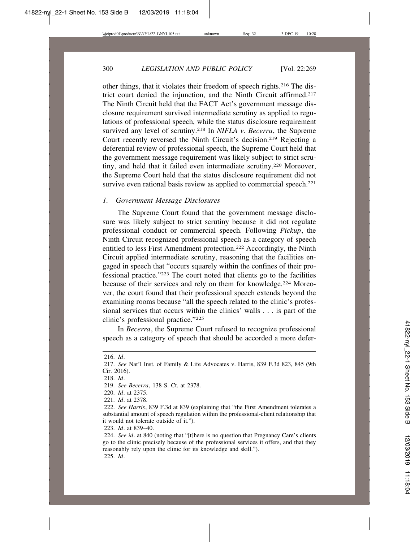other things, that it violates their freedom of speech rights.216 The district court denied the injunction, and the Ninth Circuit affirmed.217 The Ninth Circuit held that the FACT Act's government message disclosure requirement survived intermediate scrutiny as applied to regulations of professional speech, while the status disclosure requirement survived any level of scrutiny.218 In *NIFLA v. Becerra*, the Supreme Court recently reversed the Ninth Circuit's decision.219 Rejecting a deferential review of professional speech, the Supreme Court held that the government message requirement was likely subject to strict scrutiny, and held that it failed even intermediate scrutiny.220 Moreover, the Supreme Court held that the status disclosure requirement did not survive even rational basis review as applied to commercial speech.<sup>221</sup>

## *1. Government Message Disclosures*

The Supreme Court found that the government message disclosure was likely subject to strict scrutiny because it did not regulate professional conduct or commercial speech. Following *Pickup*, the Ninth Circuit recognized professional speech as a category of speech entitled to less First Amendment protection.222 Accordingly, the Ninth Circuit applied intermediate scrutiny, reasoning that the facilities engaged in speech that "occurs squarely within the confines of their professional practice."223 The court noted that clients go to the facilities because of their services and rely on them for knowledge.224 Moreover, the court found that their professional speech extends beyond the examining rooms because "all the speech related to the clinic's professional services that occurs within the clinics' walls . . . is part of the clinic's professional practice."225

In *Becerra*, the Supreme Court refused to recognize professional speech as a category of speech that should be accorded a more defer-

223. *Id*. at 839–40.

<sup>216.</sup> *Id*.

<sup>217.</sup> *See* Nat'l Inst. of Family & Life Advocates v. Harris, 839 F.3d 823, 845 (9th Cir. 2016).

<sup>218.</sup> *Id*.

<sup>219.</sup> *See Becerra*, 138 S. Ct. at 2378.

<sup>220.</sup> *Id*. at 2375.

<sup>221.</sup> *Id*. at 2378.

<sup>222.</sup> *See Harris*, 839 F.3d at 839 (explaining that "the First Amendment tolerates a substantial amount of speech regulation within the professional-client relationship that it would not tolerate outside of it.").

<sup>224.</sup> *See id*. at 840 (noting that "[t]here is no question that Pregnancy Care's clients go to the clinic precisely because of the professional services it offers, and that they reasonably rely upon the clinic for its knowledge and skill."). 225. *Id*.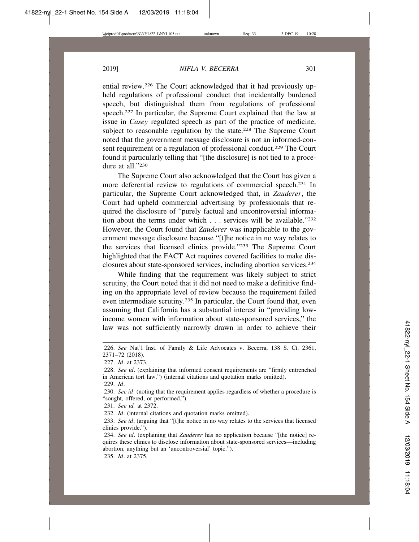ential review.226 The Court acknowledged that it had previously upheld regulations of professional conduct that incidentally burdened speech, but distinguished them from regulations of professional speech.227 In particular, the Supreme Court explained that the law at issue in *Casey* regulated speech as part of the practice of medicine, subject to reasonable regulation by the state.<sup>228</sup> The Supreme Court noted that the government message disclosure is not an informed-consent requirement or a regulation of professional conduct.<sup>229</sup> The Court found it particularly telling that "[the disclosure] is not tied to a procedure at all."230

The Supreme Court also acknowledged that the Court has given a more deferential review to regulations of commercial speech.231 In particular, the Supreme Court acknowledged that, in *Zauderer*, the Court had upheld commercial advertising by professionals that required the disclosure of "purely factual and uncontroversial information about the terms under which . . . services will be available."232 However, the Court found that *Zauderer* was inapplicable to the government message disclosure because "[t]he notice in no way relates to the services that licensed clinics provide."233 The Supreme Court highlighted that the FACT Act requires covered facilities to make disclosures about state-sponsored services, including abortion services.234

While finding that the requirement was likely subject to strict scrutiny, the Court noted that it did not need to make a definitive finding on the appropriate level of review because the requirement failed even intermediate scrutiny.235 In particular, the Court found that, even assuming that California has a substantial interest in "providing lowincome women with information about state-sponsored services," the law was not sufficiently narrowly drawn in order to achieve their

231. *See id.* at 2372.

232. *Id*. (internal citations and quotation marks omitted).

235. *Id*. at 2375.

<sup>226.</sup> *See* Nat'l Inst. of Family & Life Advocates v. Becerra, 138 S. Ct. 2361, 2371–72 (2018).

<sup>227.</sup> *Id*. at 2373.

<sup>228.</sup> *See id*. (explaining that informed consent requirements are "firmly entrenched in American tort law.") (internal citations and quotation marks omitted).

<sup>229.</sup> *Id*.

<sup>230.</sup> *See id*. (noting that the requirement applies regardless of whether a procedure is "sought, offered, or performed.").

<sup>233.</sup> *See id*. (arguing that "[t]he notice in no way relates to the services that licensed clinics provide.").

<sup>234.</sup> *See id*. (explaining that *Zauderer* has no application because "[the notice] requires these clinics to disclose information about state-sponsored services—including abortion, anything but an 'uncontroversial' topic.").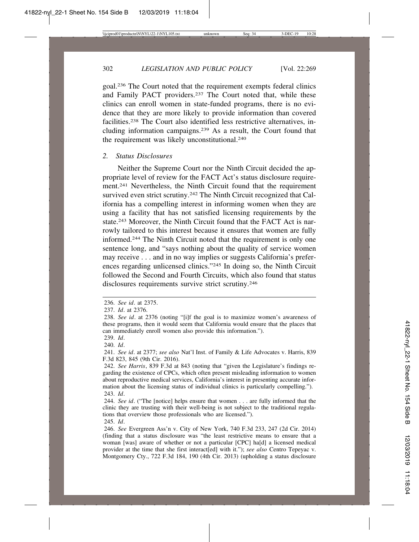goal.236 The Court noted that the requirement exempts federal clinics and Family PACT providers.237 The Court noted that, while these clinics can enroll women in state-funded programs, there is no evidence that they are more likely to provide information than covered facilities.238 The Court also identified less restrictive alternatives, including information campaigns.239 As a result, the Court found that the requirement was likely unconstitutional.<sup>240</sup>

#### *2. Status Disclosures*

Neither the Supreme Court nor the Ninth Circuit decided the appropriate level of review for the FACT Act's status disclosure requirement.241 Nevertheless, the Ninth Circuit found that the requirement survived even strict scrutiny.<sup>242</sup> The Ninth Circuit recognized that California has a compelling interest in informing women when they are using a facility that has not satisfied licensing requirements by the state.<sup>243</sup> Moreover, the Ninth Circuit found that the FACT Act is narrowly tailored to this interest because it ensures that women are fully informed.244 The Ninth Circuit noted that the requirement is only one sentence long, and "says nothing about the quality of service women may receive . . . and in no way implies or suggests California's preferences regarding unlicensed clinics."245 In doing so, the Ninth Circuit followed the Second and Fourth Circuits, which also found that status disclosures requirements survive strict scrutiny.246

245. *Id*.

<sup>236.</sup> *See id*. at 2375.

<sup>237.</sup> *Id*. at 2376.

<sup>238.</sup> *See id*. at 2376 (noting "[i]f the goal is to maximize women's awareness of these programs, then it would seem that California would ensure that the places that can immediately enroll women also provide this information.").

<sup>239.</sup> *Id*.

<sup>240.</sup> *Id*.

<sup>241.</sup> *See id*. at 2377; *see also* Nat'l Inst. of Family & Life Advocates v. Harris, 839 F.3d 823, 845 (9th Cir. 2016).

<sup>242.</sup> *See Harris*, 839 F.3d at 843 (noting that "given the Legislature's findings regarding the existence of CPCs, which often present misleading information to women about reproductive medical services, California's interest in presenting accurate information about the licensing status of individual clinics is particularly compelling."). 243. *Id*.

<sup>244.</sup> *See id*. ("The [notice] helps ensure that women . . . are fully informed that the clinic they are trusting with their well-being is not subject to the traditional regulations that overview those professionals who are licensed.").

<sup>246.</sup> *See* Evergreen Ass'n v. City of New York, 740 F.3d 233, 247 (2d Cir. 2014) (finding that a status disclosure was "the least restrictive means to ensure that a woman [was] aware of whether or not a particular [CPC] ha[d] a licensed medical provider at the time that she first interact[ed] with it."); *see also* Centro Tepeyac v. Montgomery Cty., 722 F.3d 184, 190 (4th Cir. 2013) (upholding a status disclosure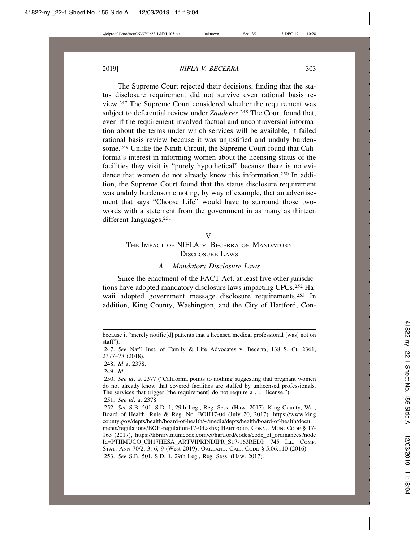The Supreme Court rejected their decisions, finding that the status disclosure requirement did not survive even rational basis review.247 The Supreme Court considered whether the requirement was subject to deferential review under *Zauderer*. 248 The Court found that, even if the requirement involved factual and uncontroversial information about the terms under which services will be available, it failed rational basis review because it was unjustified and unduly burdensome.<sup>249</sup> Unlike the Ninth Circuit, the Supreme Court found that California's interest in informing women about the licensing status of the facilities they visit is "purely hypothetical" because there is no evidence that women do not already know this information.250 In addition, the Supreme Court found that the status disclosure requirement was unduly burdensome noting, by way of example, that an advertisement that says "Choose Life" would have to surround those twowords with a statement from the government in as many as thirteen different languages.251

#### V.

# THE IMPACT OF NIFLA V. BECERRA ON MANDATORY DISCLOSURE LAWS

## *A. Mandatory Disclosure Laws*

Since the enactment of the FACT Act, at least five other jurisdictions have adopted mandatory disclosure laws impacting CPCs.252 Hawaii adopted government message disclosure requirements.<sup>253</sup> In addition, King County, Washington, and the City of Hartford, Con-

248. *Id* at 2378.

249. *Id*.

because it "merely notifie[d] patients that a licensed medical professional [was] not on staff").

<sup>247.</sup> *See* Nat'l Inst. of Family & Life Advocates v. Becerra, 138 S. Ct. 2361, 2377–78 (2018).

<sup>250.</sup> *See id*. at 2377 ("California points to nothing suggesting that pregnant women do not already know that covered facilities are staffed by unlicensed professionals. The services that trigger [the requirement] do not require a . . . license."). 251. *See id*. at 2378.

<sup>252.</sup> *See* S.B. 501, S.D. 1, 29th Leg., Reg. Sess. (Haw. 2017); King County, Wa., Board of Health, Rule & Reg. No. BOH17-04 (July 20, 2017), https://www.king county.gov/depts/health/board-of-health/~/media/depts/health/board-of-health/docu ments/regulations/BOH-regulation-17-04.ashx; HARTFORD, CONN., MUN. CODE § 17- 163 (2017), https://library.municode.com/ct/hartford/codes/code\_of\_ordinances?node Id=PTIIMUCO\_CH17HESA\_ARTVIPRINDIPR\_S17-163REDI; 745 ILL. COMP. STAT. ANN 70/2, 3, 6, 9 (West 2019); OAKLAND, CAL., CODE § 5.06.110 (2016). 253. *See* S.B. 501, S.D. 1, 29th Leg., Reg. Sess. (Haw. 2017).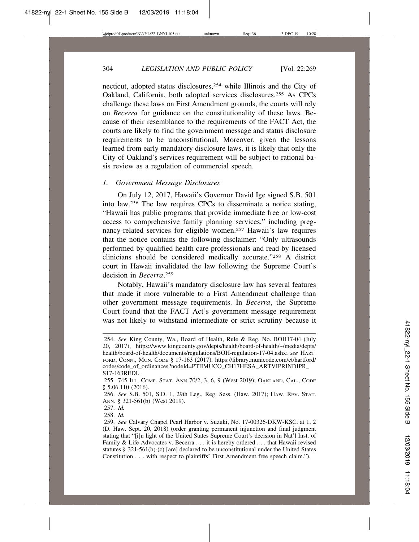necticut, adopted status disclosures,254 while Illinois and the City of Oakland, California, both adopted services disclosures.255 As CPCs challenge these laws on First Amendment grounds, the courts will rely on *Becerra* for guidance on the constitutionality of these laws. Because of their resemblance to the requirements of the FACT Act, the courts are likely to find the government message and status disclosure requirements to be unconstitutional. Moreover, given the lessons learned from early mandatory disclosure laws, it is likely that only the City of Oakland's services requirement will be subject to rational basis review as a regulation of commercial speech.

#### *1. Government Message Disclosures*

On July 12, 2017, Hawaii's Governor David Ige signed S.B. 501 into law.256 The law requires CPCs to disseminate a notice stating, "Hawaii has public programs that provide immediate free or low-cost access to comprehensive family planning services," including pregnancy-related services for eligible women.257 Hawaii's law requires that the notice contains the following disclaimer: "Only ultrasounds performed by qualified health care professionals and read by licensed clinicians should be considered medically accurate."258 A district court in Hawaii invalidated the law following the Supreme Court's decision in *Becerra*. 259

Notably, Hawaii's mandatory disclosure law has several features that made it more vulnerable to a First Amendment challenge than other government message requirements. In *Becerra*, the Supreme Court found that the FACT Act's government message requirement was not likely to withstand intermediate or strict scrutiny because it

<sup>254.</sup> *See* King County, Wa., Board of Health, Rule & Reg. No. BOH17-04 (July 20, 2017), https://www.kingcounty.gov/depts/health/board-of-health/~/media/depts/ health/board-of-health/documents/regulations/BOH-regulation-17-04.ashx; *see* HART-FORD, CONN., MUN. CODE § 17-163 (2017), https://library.municode.com/ct/hartford/ codes/code\_of\_ordinances?nodeId=PTIIMUCO\_CH17HESA\_ARTVIPRINDIPR\_ S17-163REDI.

<sup>255. 745</sup> ILL. COMP. STAT. ANN 70/2, 3, 6, 9 (West 2019); OAKLAND, CAL., CODE § 5.06.110 (2016).

<sup>256.</sup> *See* S.B. 501, S.D. 1, 29th Leg., Reg. Sess. (Haw. 2017); HAW. REV. STAT. ANN. § 321-561(b) (West 2019).

<sup>257.</sup> *Id.*

<sup>258.</sup> *Id.*

<sup>259.</sup> *See* Calvary Chapel Pearl Harbor v. Suzuki, No. 17-00326-DKW-KSC, at 1, 2 (D. Haw. Sept. 20, 2018) (order granting permanent injunction and final judgment stating that "[i]n light of the United States Supreme Court's decision in Nat'l Inst. of Family & Life Advocates v. Becerra . . . it is hereby ordered . . . that Hawaii revised statutes § 321-561(b)-(c) [are] declared to be unconstitutional under the United States Constitution . . . with respect to plaintiffs' First Amendment free speech claim.").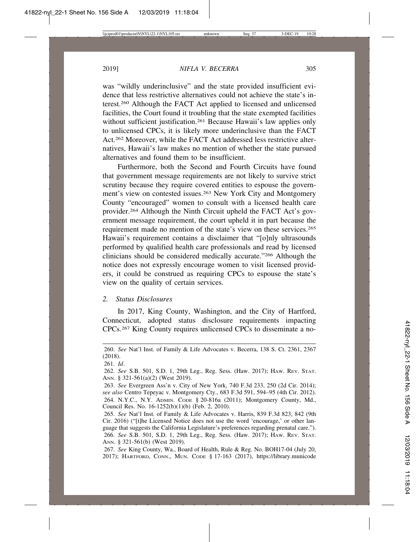was "wildly underinclusive" and the state provided insufficient evidence that less restrictive alternatives could not achieve the state's interest.260 Although the FACT Act applied to licensed and unlicensed facilities, the Court found it troubling that the state exempted facilities without sufficient justification.<sup>261</sup> Because Hawaii's law applies only to unlicensed CPCs, it is likely more underinclusive than the FACT Act.262 Moreover, while the FACT Act addressed less restrictive alternatives, Hawaii's law makes no mention of whether the state pursued alternatives and found them to be insufficient.

Furthermore, both the Second and Fourth Circuits have found that government message requirements are not likely to survive strict scrutiny because they require covered entities to espouse the government's view on contested issues.<sup>263</sup> New York City and Montgomery County "encouraged" women to consult with a licensed health care provider.264 Although the Ninth Circuit upheld the FACT Act's government message requirement, the court upheld it in part because the requirement made no mention of the state's view on these services.<sup>265</sup> Hawaii's requirement contains a disclaimer that "[o]nly ultrasounds performed by qualified health care professionals and read by licensed clinicians should be considered medically accurate."266 Although the notice does not expressly encourage women to visit licensed providers, it could be construed as requiring CPCs to espouse the state's view on the quality of certain services.

## *2. Status Disclosures*

In 2017, King County, Washington, and the City of Hartford, Connecticut, adopted status disclosure requirements impacting CPCs.267 King County requires unlicensed CPCs to disseminate a no-

<sup>260.</sup> *See* Nat'l Inst. of Family & Life Advocates v. Becerra, 138 S. Ct. 2361, 2367 (2018).

<sup>261.</sup> *Id*.

<sup>262.</sup> *See* S.B. 501, S.D. 1, 29th Leg., Reg. Sess. (Haw. 2017); HAW. REV. STAT. ANN. § 321-561(a)(2) (West 2019).

<sup>263.</sup> *See* Evergreen Ass'n v. City of New York, 740 F.3d 233, 250 (2d Cir. 2014); *see also* Centro Tepeyac v. Montgomery Cty., 683 F.3d 591, 594–95 (4th Cir. 2012). 264. N.Y.C., N.Y. ADMIN. CODE § 20-816a (2011); Montgomery County, Md., Council Res. No. 16-1252(b)(1)(b) (Feb. 2, 2010).

<sup>265.</sup> *See* Nat'l Inst. of Family & Life Advocates v. Harris, 839 F.3d 823, 842 (9th Cir. 2016) ("[t]he Licensed Notice does not use the word 'encourage,' or other language that suggests the California Legislature's preferences regarding prenatal care."). 266. *See* S.B. 501, S.D. 1, 29th Leg., Reg. Sess. (Haw. 2017); HAW. REV. STAT. ANN. § 321-561(b) (West 2019).

<sup>267.</sup> *See* King County, Wa., Board of Health, Rule & Reg. No. BOH17-04 (July 20, 2017); HARTFORD, CONN., MUN. CODE § 17-163 (2017), https://library.municode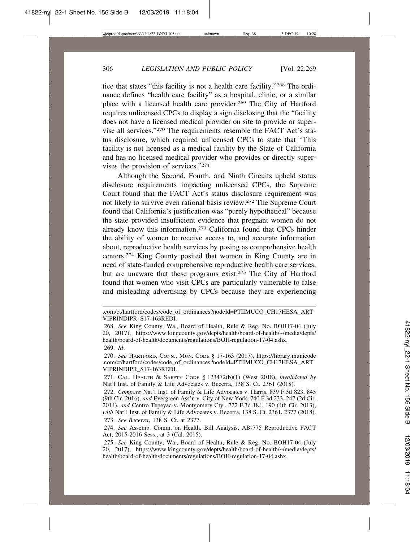tice that states "this facility is not a health care facility."268 The ordinance defines "health care facility" as a hospital, clinic, or a similar place with a licensed health care provider.269 The City of Hartford requires unlicensed CPCs to display a sign disclosing that the "facility does not have a licensed medical provider on site to provide or supervise all services."270 The requirements resemble the FACT Act's status disclosure, which required unlicensed CPCs to state that "This facility is not licensed as a medical facility by the State of California and has no licensed medical provider who provides or directly supervises the provision of services."271

Although the Second, Fourth, and Ninth Circuits upheld status disclosure requirements impacting unlicensed CPCs, the Supreme Court found that the FACT Act's status disclosure requirement was not likely to survive even rational basis review.272 The Supreme Court found that California's justification was "purely hypothetical" because the state provided insufficient evidence that pregnant women do not already know this information.273 California found that CPCs hinder the ability of women to receive access to, and accurate information about, reproductive health services by posing as comprehensive health centers.274 King County posited that women in King County are in need of state-funded comprehensive reproductive health care services, but are unaware that these programs exist.<sup>275</sup> The City of Hartford found that women who visit CPCs are particularly vulnerable to false and misleading advertising by CPCs because they are experiencing

<sup>.</sup>com/ct/hartford/codes/code\_of\_ordinances?nodeId=PTIIMUCO\_CH17HESA\_ART VIPRINDIPR\_S17-163REDI.

<sup>268.</sup> *See* King County, Wa., Board of Health, Rule & Reg. No. BOH17-04 (July 20, 2017), https://www.kingcounty.gov/depts/health/board-of-health/~/media/depts/ health/board-of-health/documents/regulations/BOH-regulation-17-04.ashx. 269. *Id*.

<sup>270.</sup> *See* HARTFORD, CONN., MUN. CODE § 17-163 (2017), https://library.municode .com/ct/hartford/codes/code\_of\_ordinances?nodeId=PTIIMUCO\_CH17HESA\_ART VIPRINDIPR\_S17-163REDI.

<sup>271.</sup> CAL. HEALTH & SAFETY CODE § 123472(b)(1) (West 2018), *invalidated by* Nat'l Inst. of Family & Life Advocates v. Becerra, 138 S. Ct. 2361 (2018).

<sup>272.</sup> *Compare* Nat'l Inst. of Family & Life Advocates v. Harris, 839 F.3d 823, 845 (9th Cir. 2016), *and* Evergreen Ass'n v. City of New York, 740 F.3d 233, 247 (2d Cir. 2014), *and* Centro Tepeyac v. Montgomery Cty., 722 F.3d 184, 190 (4th Cir. 2013), *with* Nat'l Inst. of Family & Life Advocates v. Becerra, 138 S. Ct. 2361, 2377 (2018).

<sup>273.</sup> *See Becerra*, 138 S. Ct. at 2377.

<sup>274.</sup> *See* Assemb. Comm. on Health, Bill Analysis, AB-775 Reproductive FACT Act, 2015-2016 Sess., at 3 (Cal. 2015).

<sup>275.</sup> *See* King County, Wa., Board of Health, Rule & Reg. No. BOH17-04 (July 20, 2017), https://www.kingcounty.gov/depts/health/board-of-health/~/media/depts/ health/board-of-health/documents/regulations/BOH-regulation-17-04.ashx.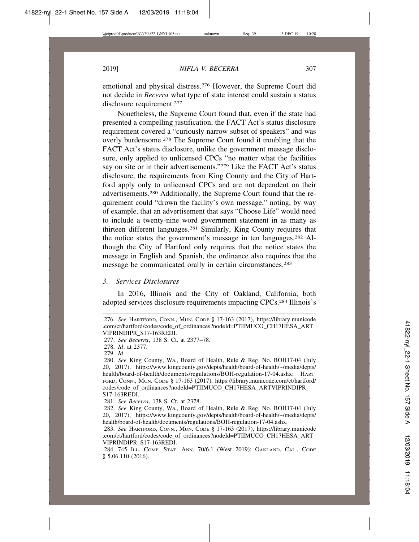emotional and physical distress.276 However, the Supreme Court did not decide in *Becerra* what type of state interest could sustain a status disclosure requirement.<sup>277</sup>

Nonetheless, the Supreme Court found that, even if the state had presented a compelling justification, the FACT Act's status disclosure requirement covered a "curiously narrow subset of speakers" and was overly burdensome.278 The Supreme Court found it troubling that the FACT Act's status disclosure, unlike the government message disclosure, only applied to unlicensed CPCs "no matter what the facilities say on site or in their advertisements."279 Like the FACT Act's status disclosure, the requirements from King County and the City of Hartford apply only to unlicensed CPCs and are not dependent on their advertisements.280 Additionally, the Supreme Court found that the requirement could "drown the facility's own message," noting, by way of example, that an advertisement that says "Choose Life" would need to include a twenty-nine word government statement in as many as thirteen different languages.281 Similarly, King County requires that the notice states the government's message in ten languages.282 Although the City of Hartford only requires that the notice states the message in English and Spanish, the ordinance also requires that the message be communicated orally in certain circumstances.283

## *3. Services Disclosures*

In 2016, Illinois and the City of Oakland, California, both adopted services disclosure requirements impacting CPCs.284 Illinois's

<sup>276.</sup> *See* HARTFORD, CONN., MUN. CODE § 17-163 (2017), https://library.municode .com/ct/hartford/codes/code\_of\_ordinances?nodeId=PTIIMUCO\_CH17HESA\_ART VIPRINDIPR\_S17-163REDI.

<sup>277.</sup> *See Becerra*, 138 S. Ct. at 2377–78.

<sup>278.</sup> *Id*. at 2377.

<sup>279.</sup> *Id*.

<sup>280.</sup> *See* King County, Wa., Board of Health, Rule & Reg. No. BOH17-04 (July 20, 2017), https://www.kingcounty.gov/depts/health/board-of-health/~/media/depts/ health/board-of-health/documents/regulations/BOH-regulation-17-04.ashx; HART-FORD, CONN., MUN. CODE § 17-163 (2017), https://library.municode.com/ct/hartford/ codes/code\_of\_ordinances?nodeId=PTIIMUCO\_CH17HESA\_ARTVIPRINDIPR S17-163REDI.

<sup>281.</sup> *See Becerra*, 138 S. Ct. at 2378.

<sup>282.</sup> *See* King County, Wa., Board of Health, Rule & Reg. No. BOH17-04 (July 20, 2017), https://www.kingcounty.gov/depts/health/board-of-health/~/media/depts/ health/board-of-health/documents/regulations/BOH-regulation-17-04.ashx.

<sup>283.</sup> *See* HARTFORD, CONN., MUN. CODE § 17-163 (2017), https://library.municode .com/ct/hartford/codes/code\_of\_ordinances?nodeId=PTIIMUCO\_CH17HESA\_ART VIPRINDIPR\_S17-163REDI.

<sup>284. 745</sup> ILL. COMP. STAT. ANN. 70/6.1 (West 2019); OAKLAND, CAL., CODE § 5.06.110 (2016).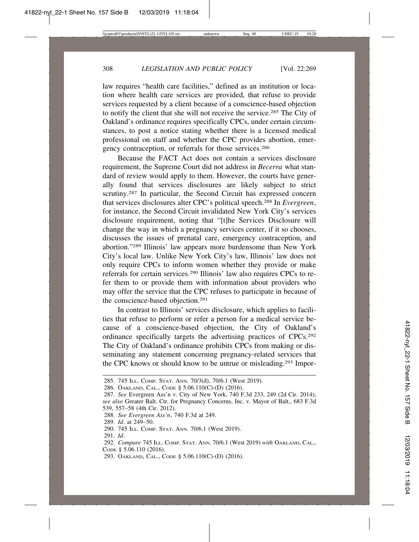law requires "health care facilities," defined as an institution or location where health care services are provided, that refuse to provide services requested by a client because of a conscience-based objection to notify the client that she will not receive the service.285 The City of Oakland's ordinance requires specifically CPCs, under certain circumstances, to post a notice stating whether there is a licensed medical professional on staff and whether the CPC provides abortion, emergency contraception, or referrals for those services.286

Because the FACT Act does not contain a services disclosure requirement, the Supreme Court did not address in *Becerra* what standard of review would apply to them. However, the courts have generally found that services disclosures are likely subject to strict scrutiny.<sup>287</sup> In particular, the Second Circuit has expressed concern that services disclosures alter CPC's political speech.288 In *Evergreen*, for instance, the Second Circuit invalidated New York City's services disclosure requirement, noting that "[t]he Services Disclosure will change the way in which a pregnancy services center, if it so chooses, discusses the issues of prenatal care, emergency contraception, and abortion."289 Illinois' law appears more burdensome than New York City's local law. Unlike New York City's law, Illinois' law does not only require CPCs to inform women whether they provide or make referrals for certain services.290 Illinois' law also requires CPCs to refer them to or provide them with information about providers who may offer the service that the CPC refuses to participate in because of the conscience-based objection.291

In contrast to Illinois' services disclosure, which applies to facilities that refuse to perform or refer a person for a medical service because of a conscience-based objection, the City of Oakland's ordinance specifically targets the advertising practices of CPCs.292 The City of Oakland's ordinance prohibits CPCs from making or disseminating any statement concerning pregnancy-related services that the CPC knows or should know to be untrue or misleading.<sup>293</sup> Impor-

<sup>285. 745</sup> ILL. COMP. STAT. ANN. 70/3(d), 70/6.1 (West 2019).

<sup>286.</sup> OAKLAND, CAL., CODE § 5.06.110(C)-(D) (2016).

<sup>287.</sup> *See* Evergreen Ass'n v. City of New York, 740 F.3d 233, 249 (2d Cir. 2014); *see also* Greater Balt. Ctr. for Pregnancy Concerns, Inc. v. Mayor of Balt., 683 F.3d 539, 557–58 (4th Cir. 2012).

<sup>288.</sup> *See Evergreen Ass'n*, 740 F.3d at 249.

<sup>289.</sup> *Id*. at 249–50.

<sup>290. 745</sup> ILL. COMP. STAT. ANN. 70/6.1 (West 2019).

<sup>291.</sup> *Id*.

<sup>292.</sup> *Compare* 745 ILL. COMP. STAT. ANN. 70/6.1 (West 2019) *with* OAKLAND, CAL., CODE § 5.06.110 (2016).

<sup>293.</sup> OAKLAND, CAL., CODE § 5.06.110(C)-(D) (2016).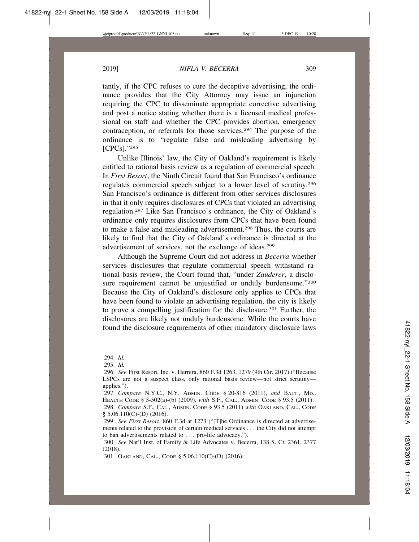tantly, if the CPC refuses to cure the deceptive advertising, the ordinance provides that the City Attorney may issue an injunction requiring the CPC to disseminate appropriate corrective advertising and post a notice stating whether there is a licensed medical professional on staff and whether the CPC provides abortion, emergency contraception, or referrals for those services.294 The purpose of the ordinance is to "regulate false and misleading advertising by [CPCs]."295

Unlike Illinois' law, the City of Oakland's requirement is likely entitled to rational basis review as a regulation of commercial speech. In *First Resort*, the Ninth Circuit found that San Francisco's ordinance regulates commercial speech subject to a lower level of scrutiny.296 San Francisco's ordinance is different from other services disclosures in that it only requires disclosures of CPCs that violated an advertising regulation.297 Like San Francisco's ordinance, the City of Oakland's ordinance only requires disclosures from CPCs that have been found to make a false and misleading advertisement.298 Thus, the courts are likely to find that the City of Oakland's ordinance is directed at the advertisement of services, not the exchange of ideas.299

Although the Supreme Court did not address in *Becerra* whether services disclosures that regulate commercial speech withstand rational basis review, the Court found that, "under *Zauderer*, a disclosure requirement cannot be unjustified or unduly burdensome."300 Because the City of Oakland's disclosure only applies to CPCs that have been found to violate an advertising regulation, the city is likely to prove a compelling justification for the disclosure.301 Further, the disclosures are likely not unduly burdensome. While the courts have found the disclosure requirements of other mandatory disclosure laws

<sup>294.</sup> *Id.*

<sup>295.</sup> *Id.*

<sup>296.</sup> *See* First Resort, Inc. v. Herrera, 860 F.3d 1263, 1279 (9th Cir. 2017) ("Because LSPCs are not a suspect class, only rational basis review—not strict scrutiny applies.").

<sup>297.</sup> *Compare* N.Y.C., N.Y. ADMIN. CODE § 20-816 (2011), *and* BALT., MD., HEALTH CODE § 3-502(a)-(b) (2009), *with* S.F., CAL., ADMIN. CODE § 93.5 (2011).

<sup>298.</sup> *Compare* S.F., CAL., ADMIN. CODE § 93.5 (2011) *with* OAKLAND, CAL., CODE  $§ 5.06.110(C)$ -(D) (2016).

<sup>299.</sup> *See First Resort*, 860 F.3d at 1273 ("[T]he Ordinance is directed at advertisements related to the provision of certain medical services . . . the City did not attempt to ban advertisements related to . . . pro-life advocacy.").

<sup>300.</sup> *See* Nat'l Inst. of Family & Life Advocates v. Becerra, 138 S. Ct. 2361, 2377 (2018).

<sup>301.</sup> OAKLAND, CAL., CODE § 5.06.110(C)-(D) (2016).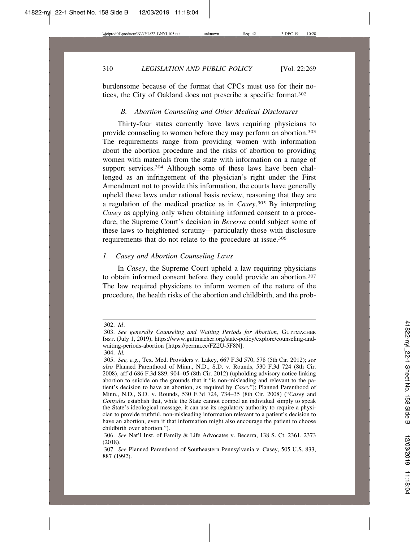burdensome because of the format that CPCs must use for their notices, the City of Oakland does not prescribe a specific format.302

## *B. Abortion Counseling and Other Medical Disclosures*

Thirty-four states currently have laws requiring physicians to provide counseling to women before they may perform an abortion.303 The requirements range from providing women with information about the abortion procedure and the risks of abortion to providing women with materials from the state with information on a range of support services.<sup>304</sup> Although some of these laws have been challenged as an infringement of the physician's right under the First Amendment not to provide this information, the courts have generally upheld these laws under rational basis review, reasoning that they are a regulation of the medical practice as in *Casey*. 305 By interpreting *Casey* as applying only when obtaining informed consent to a procedure, the Supreme Court's decision in *Becerra* could subject some of these laws to heightened scrutiny—particularly those with disclosure requirements that do not relate to the procedure at issue.306

## *1. Casey and Abortion Counseling Laws*

In *Casey*, the Supreme Court upheld a law requiring physicians to obtain informed consent before they could provide an abortion.307 The law required physicians to inform women of the nature of the procedure, the health risks of the abortion and childbirth, and the prob-

<sup>302.</sup> *Id*.

<sup>303.</sup> *See generally Counseling and Waiting Periods for Abortion*, GUTTMACHER INST. (July 1, 2019), https://www.guttmacher.org/state-policy/explore/counseling-andwaiting-periods-abortion [https://perma.cc/FZ2U-5F8N].

<sup>304.</sup> *Id.*

<sup>305.</sup> *See, e.g.*, Tex. Med. Providers v. Lakey, 667 F.3d 570, 578 (5th Cir. 2012); *see also* Planned Parenthood of Minn., N.D., S.D. v. Rounds, 530 F.3d 724 (8th Cir. 2008), aff'd 686 F.3d 889, 904–05 (8th Cir. 2012) (upholding advisory notice linking abortion to suicide on the grounds that it "is non-misleading and relevant to the patient's decision to have an abortion, as required by *Casey*"); Planned Parenthood of Minn., N.D., S.D. v. Rounds, 530 F.3d 724, 734–35 (8th Cir. 2008) ("*Casey* and *Gonzales* establish that, while the State cannot compel an individual simply to speak the State's ideological message, it can use its regulatory authority to require a physician to provide truthful, non-misleading information relevant to a patient's decision to have an abortion, even if that information might also encourage the patient to choose childbirth over abortion.").

<sup>306.</sup> *See* Nat'l Inst. of Family & Life Advocates v. Becerra, 138 S. Ct. 2361, 2373 (2018).

<sup>307.</sup> *See* Planned Parenthood of Southeastern Pennsylvania v. Casey, 505 U.S. 833, 887 (1992).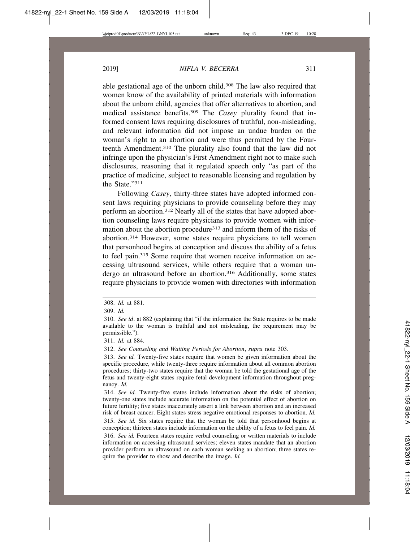able gestational age of the unborn child.308 The law also required that women know of the availability of printed materials with information about the unborn child, agencies that offer alternatives to abortion, and medical assistance benefits.309 The *Casey* plurality found that informed consent laws requiring disclosures of truthful, non-misleading, and relevant information did not impose an undue burden on the woman's right to an abortion and were thus permitted by the Fourteenth Amendment.310 The plurality also found that the law did not infringe upon the physician's First Amendment right not to make such disclosures, reasoning that it regulated speech only "as part of the practice of medicine, subject to reasonable licensing and regulation by the State<sup>"311</sup>

Following *Casey*, thirty-three states have adopted informed consent laws requiring physicians to provide counseling before they may perform an abortion.312 Nearly all of the states that have adopted abortion counseling laws require physicians to provide women with information about the abortion procedure<sup>313</sup> and inform them of the risks of abortion.314 However, some states require physicians to tell women that personhood begins at conception and discuss the ability of a fetus to feel pain.315 Some require that women receive information on accessing ultrasound services, while others require that a woman undergo an ultrasound before an abortion.<sup>316</sup> Additionally, some states require physicians to provide women with directories with information

312. *See Counseling and Waiting Periods for Abortion*, *supra* note 303.

<sup>308.</sup> *Id.* at 881.

<sup>309.</sup> *Id.*

<sup>310.</sup> *See id*. at 882 (explaining that "if the information the State requires to be made available to the woman is truthful and not misleading, the requirement may be permissible.").

<sup>311.</sup> *Id.* at 884.

<sup>313.</sup> *See id.* Twenty-five states require that women be given information about the specific procedure, while twenty-three require information about all common abortion procedures; thirty-two states require that the woman be told the gestational age of the fetus and twenty-eight states require fetal development information throughout pregnancy. *Id.*

<sup>314.</sup> *See id.* Twenty-five states include information about the risks of abortion; twenty-one states include accurate information on the potential effect of abortion on future fertility; five states inaccurately assert a link between abortion and an increased risk of breast cancer. Eight states stress negative emotional responses to abortion. *Id.*

<sup>315.</sup> *See id.* Six states require that the woman be told that personhood begins at conception; thirteen states include information on the ability of a fetus to feel pain. *Id.*

<sup>316.</sup> *See id.* Fourteen states require verbal counseling or written materials to include information on accessing ultrasound services; eleven states mandate that an abortion provider perform an ultrasound on each woman seeking an abortion; three states require the provider to show and describe the image. *Id.*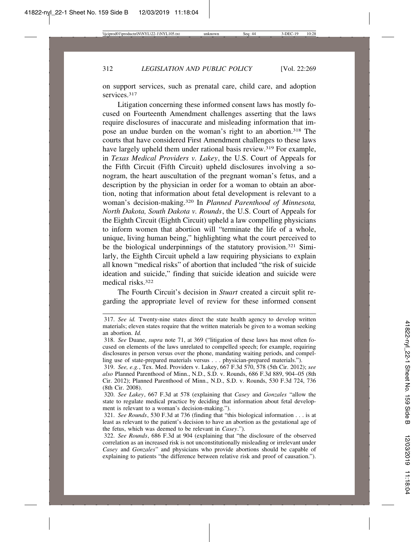on support services, such as prenatal care, child care, and adoption services.<sup>317</sup>

Litigation concerning these informed consent laws has mostly focused on Fourteenth Amendment challenges asserting that the laws require disclosures of inaccurate and misleading information that impose an undue burden on the woman's right to an abortion.318 The courts that have considered First Amendment challenges to these laws have largely upheld them under rational basis review.<sup>319</sup> For example, in *Texas Medical Providers v. Lakey*, the U.S. Court of Appeals for the Fifth Circuit (Fifth Circuit) upheld disclosures involving a sonogram, the heart auscultation of the pregnant woman's fetus, and a description by the physician in order for a woman to obtain an abortion, noting that information about fetal development is relevant to a woman's decision-making.320 In *Planned Parenthood of Minnesota, North Dakota, South Dakota v. Rounds*, the U.S. Court of Appeals for the Eighth Circuit (Eighth Circuit) upheld a law compelling physicians to inform women that abortion will "terminate the life of a whole, unique, living human being," highlighting what the court perceived to be the biological underpinnings of the statutory provision.321 Similarly, the Eighth Circuit upheld a law requiring physicians to explain all known "medical risks" of abortion that included "the risk of suicide ideation and suicide," finding that suicide ideation and suicide were medical risks<sup>322</sup>

The Fourth Circuit's decision in *Stuart* created a circuit split regarding the appropriate level of review for these informed consent

<sup>317.</sup> *See id.* Twenty-nine states direct the state health agency to develop written materials; eleven states require that the written materials be given to a woman seeking an abortion. *Id.*

<sup>318.</sup> *See* Duane, *supra* note 71, at 369 ("litigation of these laws has most often focused on elements of the laws unrelated to compelled speech; for example, requiring disclosures in person versus over the phone, mandating waiting periods, and compelling use of state-prepared materials versus . . . physician-prepared materials.").

<sup>319.</sup> *See, e.g.*, Tex. Med. Providers v. Lakey, 667 F.3d 570, 578 (5th Cir. 2012); *see also* Planned Parenthood of Minn., N.D., S.D. v. Rounds, 686 F.3d 889, 904–05 (8th Cir. 2012); Planned Parenthood of Minn., N.D., S.D. v. Rounds, 530 F.3d 724, 736 (8th Cir. 2008).

<sup>320.</sup> *See Lakey*, 667 F.3d at 578 (explaining that *Casey* and *Gonzales* "allow the state to regulate medical practice by deciding that information about fetal development is relevant to a woman's decision-making.").

<sup>321.</sup> *See Rounds*, 530 F.3d at 736 (finding that "this biological information . . . is at least as relevant to the patient's decision to have an abortion as the gestational age of the fetus, which was deemed to be relevant in *Casey*.").

<sup>322.</sup> *See Rounds*, 686 F.3d at 904 (explaining that "the disclosure of the observed correlation as an increased risk is not unconstitutionally misleading or irrelevant under *Casey* and *Gonzales*" and physicians who provide abortions should be capable of explaining to patients "the difference between relative risk and proof of causation.").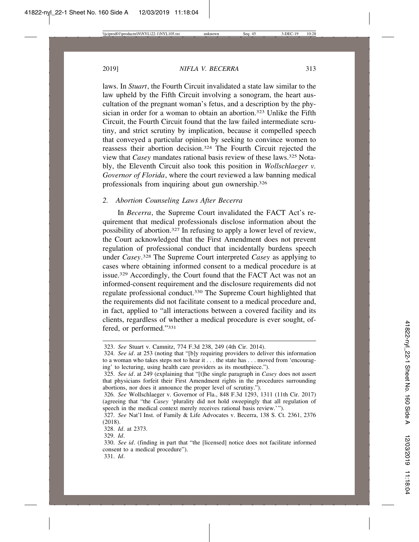laws. In *Stuart*, the Fourth Circuit invalidated a state law similar to the law upheld by the Fifth Circuit involving a sonogram, the heart auscultation of the pregnant woman's fetus, and a description by the physician in order for a woman to obtain an abortion.<sup>323</sup> Unlike the Fifth Circuit, the Fourth Circuit found that the law failed intermediate scrutiny, and strict scrutiny by implication, because it compelled speech that conveyed a particular opinion by seeking to convince women to reassess their abortion decision.324 The Fourth Circuit rejected the view that *Casey* mandates rational basis review of these laws.325 Notably, the Eleventh Circuit also took this position in *Wollschlaeger v. Governor of Florida*, where the court reviewed a law banning medical professionals from inquiring about gun ownership.326

## *2. Abortion Counseling Laws After Becerra*

In *Becerra*, the Supreme Court invalidated the FACT Act's requirement that medical professionals disclose information about the possibility of abortion.327 In refusing to apply a lower level of review, the Court acknowledged that the First Amendment does not prevent regulation of professional conduct that incidentally burdens speech under *Casey*. 328 The Supreme Court interpreted *Casey* as applying to cases where obtaining informed consent to a medical procedure is at issue.329 Accordingly, the Court found that the FACT Act was not an informed-consent requirement and the disclosure requirements did not regulate professional conduct.330 The Supreme Court highlighted that the requirements did not facilitate consent to a medical procedure and, in fact, applied to "all interactions between a covered facility and its clients, regardless of whether a medical procedure is ever sought, offered, or performed."331

<sup>323.</sup> *See* Stuart v. Camnitz, 774 F.3d 238, 249 (4th Cir. 2014).

<sup>324.</sup> *See id*. at 253 (noting that "[b]y requiring providers to deliver this information to a woman who takes steps not to hear it . . . the state has . . . moved from 'encouraging' to lecturing, using health care providers as its mouthpiece.").

<sup>325.</sup> *See id*. at 249 (explaining that "[t]he single paragraph in *Casey* does not assert that physicians forfeit their First Amendment rights in the procedures surrounding abortions, nor does it announce the proper level of scrutiny.").

<sup>326.</sup> *See* Wollschlaeger v. Governor of Fla., 848 F.3d 1293, 1311 (11th Cir. 2017) (agreeing that "the *Casey* 'plurality did not hold sweepingly that all regulation of speech in the medical context merely receives rational basis review.'").

<sup>327.</sup> *See* Nat'l Inst. of Family & Life Advocates v. Becerra, 138 S. Ct. 2361, 2376 (2018).

<sup>328.</sup> *Id*. at 2373.

<sup>329.</sup> *Id*.

<sup>330.</sup> *See id*. (finding in part that "the [licensed] notice does not facilitate informed consent to a medical procedure").

<sup>331.</sup> *Id*.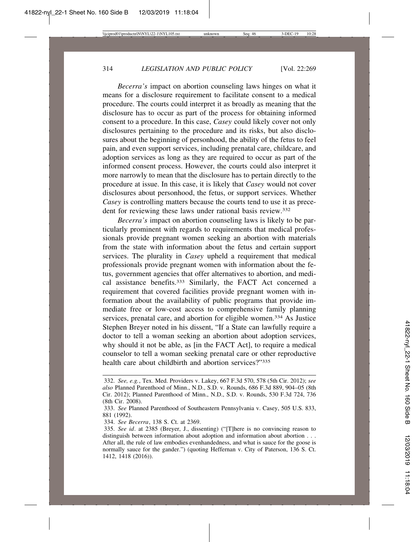*Becerra's* impact on abortion counseling laws hinges on what it means for a disclosure requirement to facilitate consent to a medical procedure. The courts could interpret it as broadly as meaning that the disclosure has to occur as part of the process for obtaining informed consent to a procedure. In this case, *Casey* could likely cover not only disclosures pertaining to the procedure and its risks, but also disclosures about the beginning of personhood, the ability of the fetus to feel pain, and even support services, including prenatal care, childcare, and adoption services as long as they are required to occur as part of the informed consent process. However, the courts could also interpret it more narrowly to mean that the disclosure has to pertain directly to the procedure at issue. In this case, it is likely that *Casey* would not cover disclosures about personhood, the fetus, or support services. Whether *Casey* is controlling matters because the courts tend to use it as precedent for reviewing these laws under rational basis review.<sup>332</sup>

*Becerra's* impact on abortion counseling laws is likely to be particularly prominent with regards to requirements that medical professionals provide pregnant women seeking an abortion with materials from the state with information about the fetus and certain support services. The plurality in *Casey* upheld a requirement that medical professionals provide pregnant women with information about the fetus, government agencies that offer alternatives to abortion, and medical assistance benefits.333 Similarly, the FACT Act concerned a requirement that covered facilities provide pregnant women with information about the availability of public programs that provide immediate free or low-cost access to comprehensive family planning services, prenatal care, and abortion for eligible women.334 As Justice Stephen Breyer noted in his dissent, "If a State can lawfully require a doctor to tell a woman seeking an abortion about adoption services, why should it not be able, as [in the FACT Act], to require a medical counselor to tell a woman seeking prenatal care or other reproductive health care about childbirth and abortion services?"335

<sup>332.</sup> *See, e.g.*, Tex. Med. Providers v. Lakey, 667 F.3d 570, 578 (5th Cir. 2012); *see also* Planned Parenthood of Minn., N.D., S.D. v. Rounds, 686 F.3d 889, 904–05 (8th Cir. 2012); Planned Parenthood of Minn., N.D., S.D. v. Rounds, 530 F.3d 724, 736 (8th Cir. 2008).

<sup>333.</sup> *See* Planned Parenthood of Southeastern Pennsylvania v. Casey, 505 U.S. 833, 881 (1992).

<sup>334.</sup> *See Becerra*, 138 S. Ct. at 2369.

<sup>335.</sup> *See id*. at 2385 (Breyer, J., dissenting) ("[T]here is no convincing reason to distinguish between information about adoption and information about abortion . . . After all, the rule of law embodies evenhandedness, and what is sauce for the goose is normally sauce for the gander.") (quoting Heffernan v. City of Paterson, 136 S. Ct. 1412, 1418 (2016)).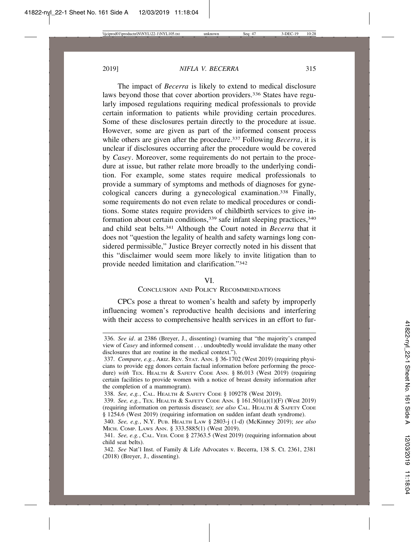The impact of *Becerra* is likely to extend to medical disclosure laws beyond those that cover abortion providers.336 States have regularly imposed regulations requiring medical professionals to provide certain information to patients while providing certain procedures. Some of these disclosures pertain directly to the procedure at issue. However, some are given as part of the informed consent process while others are given after the procedure.<sup>337</sup> Following *Becerra*, it is unclear if disclosures occurring after the procedure would be covered by *Casey*. Moreover, some requirements do not pertain to the procedure at issue, but rather relate more broadly to the underlying condition. For example, some states require medical professionals to provide a summary of symptoms and methods of diagnoses for gynecological cancers during a gynecological examination.338 Finally, some requirements do not even relate to medical procedures or conditions. Some states require providers of childbirth services to give information about certain conditions,<sup>339</sup> safe infant sleeping practices,<sup>340</sup> and child seat belts.341 Although the Court noted in *Becerra* that it does not "question the legality of health and safety warnings long considered permissible," Justice Breyer correctly noted in his dissent that this "disclaimer would seem more likely to invite litigation than to provide needed limitation and clarification."342

#### VI.

## CONCLUSION AND POLICY RECOMMENDATIONS

CPCs pose a threat to women's health and safety by improperly influencing women's reproductive health decisions and interfering with their access to comprehensive health services in an effort to fur-

<sup>336.</sup> *See id*. at 2386 (Breyer, J., dissenting) (warning that "the majority's cramped view of *Casey* and informed consent . . . undoubtedly would invalidate the many other disclosures that are routine in the medical context.").

<sup>337.</sup> *Compare, e.g.*, ARIZ. REV. STAT. ANN. § 36-1702 (West 2019) (requiring physicians to provide egg donors certain factual information before performing the procedure) *with* TEX. HEALTH & SAFETY CODE ANN. § 86.013 (West 2019) (requiring certain facilities to provide women with a notice of breast density information after the completion of a mammogram).

<sup>338.</sup> *See, e.g.*, CAL. HEALTH & SAFETY CODE § 109278 (West 2019).

<sup>339.</sup> *See, e.g.*, TEX. HEALTH & SAFETY CODE ANN. § 161.501(a)(1)(F) (West 2019) (requiring information on pertussis disease); *see also* CAL. HEALTH & SAFETY CODE § 1254.6 (West 2019) (requiring information on sudden infant death syndrome).

<sup>340.</sup> *See, e.g.*, N.Y. PUB. HEALTH LAW § 2803-j (1-d) (McKinney 2019); *see also* MICH. COMP. LAWS ANN. § 333.5885(1) (West 2019).

<sup>341.</sup> *See, e.g.*, CAL. VEH. CODE § 27363.5 (West 2019) (requiring information about child seat belts).

<sup>342.</sup> *See* Nat'l Inst. of Family & Life Advocates v. Becerra, 138 S. Ct. 2361, 2381 (2018) (Breyer, J., dissenting).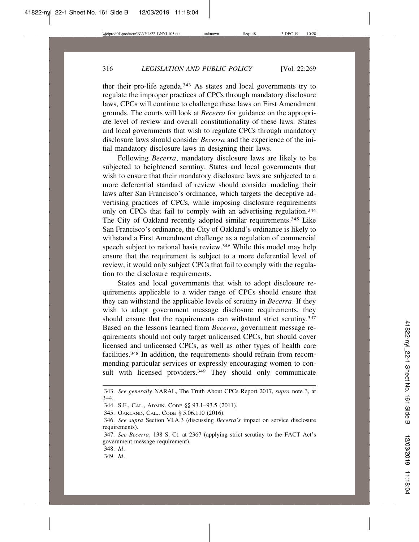ther their pro-life agenda.<sup>343</sup> As states and local governments try to regulate the improper practices of CPCs through mandatory disclosure laws, CPCs will continue to challenge these laws on First Amendment grounds. The courts will look at *Becerra* for guidance on the appropriate level of review and overall constitutionality of these laws. States and local governments that wish to regulate CPCs through mandatory disclosure laws should consider *Becerra* and the experience of the initial mandatory disclosure laws in designing their laws.

Following *Becerra*, mandatory disclosure laws are likely to be subjected to heightened scrutiny. States and local governments that wish to ensure that their mandatory disclosure laws are subjected to a more deferential standard of review should consider modeling their laws after San Francisco's ordinance, which targets the deceptive advertising practices of CPCs, while imposing disclosure requirements only on CPCs that fail to comply with an advertising regulation.<sup>344</sup> The City of Oakland recently adopted similar requirements.345 Like San Francisco's ordinance, the City of Oakland's ordinance is likely to withstand a First Amendment challenge as a regulation of commercial speech subject to rational basis review.<sup>346</sup> While this model may help ensure that the requirement is subject to a more deferential level of review, it would only subject CPCs that fail to comply with the regulation to the disclosure requirements.

States and local governments that wish to adopt disclosure requirements applicable to a wider range of CPCs should ensure that they can withstand the applicable levels of scrutiny in *Becerra*. If they wish to adopt government message disclosure requirements, they should ensure that the requirements can withstand strict scrutiny.<sup>347</sup> Based on the lessons learned from *Becerra*, government message requirements should not only target unlicensed CPCs, but should cover licensed and unlicensed CPCs, as well as other types of health care facilities.348 In addition, the requirements should refrain from recommending particular services or expressly encouraging women to consult with licensed providers.<sup>349</sup> They should only communicate

348. *Id*.

349. *Id*.

<sup>343.</sup> *See generally* NARAL, The Truth About CPCs Report 2017, *supra* note 3, at  $3-4.$ 

<sup>344.</sup> S.F., CAL., ADMIN. CODE §§ 93.1–93.5 (2011).

<sup>345.</sup> OAKLAND, CAL., CODE § 5.06.110 (2016).

<sup>346.</sup> *See supra* Section VI.A.3 (discussing *Becerra's* impact on service disclosure requirements).

<sup>347.</sup> *See Becerra*, 138 S. Ct. at 2367 (applying strict scrutiny to the FACT Act's government message requirement).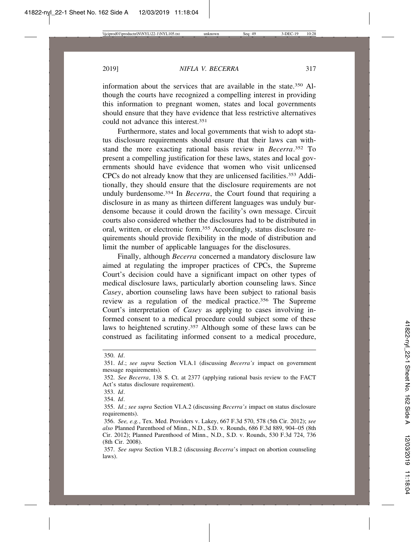information about the services that are available in the state.350 Although the courts have recognized a compelling interest in providing this information to pregnant women, states and local governments should ensure that they have evidence that less restrictive alternatives could not advance this interest.351

Furthermore, states and local governments that wish to adopt status disclosure requirements should ensure that their laws can withstand the more exacting rational basis review in *Becerra*. 352 To present a compelling justification for these laws, states and local governments should have evidence that women who visit unlicensed CPCs do not already know that they are unlicensed facilities.353 Additionally, they should ensure that the disclosure requirements are not unduly burdensome.354 In *Becerra*, the Court found that requiring a disclosure in as many as thirteen different languages was unduly burdensome because it could drown the facility's own message. Circuit courts also considered whether the disclosures had to be distributed in oral, written, or electronic form.355 Accordingly, status disclosure requirements should provide flexibility in the mode of distribution and limit the number of applicable languages for the disclosures.

Finally, although *Becerra* concerned a mandatory disclosure law aimed at regulating the improper practices of CPCs, the Supreme Court's decision could have a significant impact on other types of medical disclosure laws, particularly abortion counseling laws. Since *Casey*, abortion counseling laws have been subject to rational basis review as a regulation of the medical practice.356 The Supreme Court's interpretation of *Casey* as applying to cases involving informed consent to a medical procedure could subject some of these laws to heightened scrutiny.357 Although some of these laws can be construed as facilitating informed consent to a medical procedure,

<sup>350.</sup> *Id*.

<sup>351.</sup> *Id*.; *see supra* Section VI.A.1 (discussing *Becerra's* impact on government message requirements).

<sup>352.</sup> *See Becerra*, 138 S. Ct. at 2377 (applying rational basis review to the FACT Act's status disclosure requirement).

<sup>353.</sup> *Id*.

<sup>354.</sup> *Id*.

<sup>355.</sup> *Id*.; *see supra* Section VI.A.2 (discussing *Becerra's* impact on status disclosure requirements).

<sup>356.</sup> *See, e.g.*, Tex. Med. Providers v. Lakey, 667 F.3d 570, 578 (5th Cir. 2012); *see also* Planned Parenthood of Minn., N.D., S.D. v. Rounds, 686 F.3d 889, 904–05 (8th Cir. 2012); Planned Parenthood of Minn., N.D., S.D. v. Rounds, 530 F.3d 724, 736 (8th Cir. 2008).

<sup>357.</sup> *See supra* Section VI.B.2 (discussing *Becerra*'s impact on abortion counseling laws).